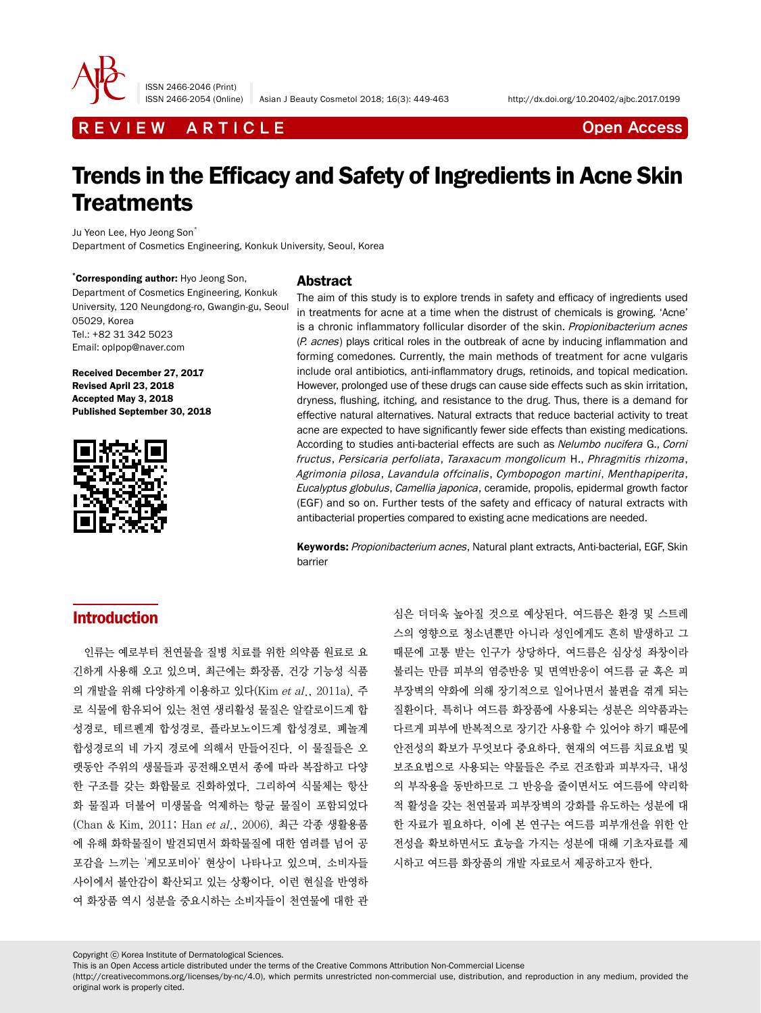

ISSN 2466-2046 (Print)

ISSN 2466-2054 (Online) Asian J Beauty Cosmetol 2018; 16(3): 449-463 http://dx.doi.org/10.20402/ajbc.2017.0199

R E V I E W A R T I C L E CONTROL EXECUTE THE OPEN ACCESS

# Trends in the Efficacy and Safety of Ingredients in Acne Skin **Treatments**

Ju Yeon Lee, Hvo Jeong Son<sup>\*</sup> Department of Cosmetics Engineering, Konkuk University, Seoul, Korea

\* Corresponding author: Hyo Jeong Son, Department of Cosmetics Engineering, Konkuk University, 120 Neungdong-ro, Gwangin-gu, Seoul 05029, Korea Tel.: +82 31 342 5023 Email: oplpop@naver.com

Received December 27, 2017 Revised April 23, 2018 Accepted May 3, 2018 Published September 30, 2018



### Abstract

The aim of this study is to explore trends in safety and efficacy of ingredients used in treatments for acne at a time when the distrust of chemicals is growing. 'Acne' is a chronic inflammatory follicular disorder of the skin. Propionibacterium acnes (P. acnes) plays critical roles in the outbreak of acne by inducing inflammation and forming comedones. Currently, the main methods of treatment for acne vulgaris include oral antibiotics, anti-inflammatory drugs, retinoids, and topical medication. However, prolonged use of these drugs can cause side effects such as skin irritation, dryness, flushing, itching, and resistance to the drug. Thus, there is a demand for effective natural alternatives. Natural extracts that reduce bacterial activity to treat acne are expected to have significantly fewer side effects than existing medications. According to studies anti-bacterial effects are such as Nelumbo nucifera G., Corni fructus, Persicaria perfoliata, Taraxacum mongolicum H., Phragmitis rhizoma, Agrimonia pilosa, Lavandula offcinalis, Cymbopogon martini, Menthapiperita, Eucalyptus globulus, Camellia japonica, ceramide, propolis, epidermal growth factor (EGF) and so on. Further tests of the safety and efficacy of natural extracts with antibacterial properties compared to existing acne medications are needed.

Keywords: Propionibacterium acnes, Natural plant extracts, Anti-bacterial, EGF, Skin barrier

# **Introduction**

인류는 예로부터 천연물을 질병 치료를 위한 의약품 원료로 요 긴하게 사용해 오고 있으며, 최근에는 화장품, 건강 기능성 식품 의 개발을 위해 다양하게 이용하고 있다(Kim et al., 2011a). 주 로 식물에 함유되어 있는 천연 생리활성 물질은 알칼로이드계 합 성경로, 테르펜계 합성경로, 플라보노이드계 합성경로, 폐놀계 합성경로의 네 가지 경로에 의해서 만들어진다. 이 물질들은 오 랫동안 주위의 생물들과 공전해오면서 종에 따라 복잡하고 다양 한 구조를 갖는 화합물로 진화하였다. 그리하여 식물체는 항산 화 물질과 더불어 미생물을 억제하는 항균 물질이 포함되었다 (Chan & Kim, 2011; Han et al., 2006). 최근 각종 생활용품 에 유해 화학물질이 발견되면서 화학물질에 대한 염려를 넘어 공 포감을 느끼는 '케모포비아' 현상이 나타나고 있으며, 소비자들 사이에서 불안감이 확산되고 있는 상황이다. 이런 현실을 반영하 여 화장품 역시 성분을 중요시하는 소비자들이 천연물에 대한 관

심은 더더욱 높아질 것으로 예상된다. 여드름은 환경 및 스트레 스의 영향으로 청소년뿐만 아니라 성인에게도 흔히 발생하고 그 때문에 고통 받는 인구가 상당하다. 여드름은 심상성 좌창이라 불리는 만큼 피부의 염증반응 및 면역반응이 여드름 균 혹은 피 부장벽의 약화에 의해 장기적으로 일어나면서 불편을 겪게 되는 질환이다. 특히나 여드름 화장품에 사용되는 성분은 의약품과는 다르게 피부에 반복적으로 장기간 사용할 수 있어야 하기 때문에 안전성의 확보가 무엇보다 중요하다. 현재의 여드름 치료요법 및 보조요법으로 사용되는 약물들은 주로 건조함과 피부자극, 내성 의 부작용을 동반하므로 그 반응을 줄이면서도 여드름에 약리학 적 활성을 갖는 천연물과 피부장벽의 강화를 유도하는 성분에 대 한 자료가 필요하다. 이에 본 연구는 여드름 피부개선을 위한 안 전성을 확보하면서도 효능을 가지는 성분에 대해 기초자료를 제 시하고 여드름 화장품의 개발 자료로서 제공하고자 한다.

Copyright ⓒ Korea Institute of Dermatological Sciences.

This is an Open Access article distributed under the terms of the Creative Commons Attribution Non-Commercial License

(http://creativecommons.org/licenses/by-nc/4.0), which permits unrestricted non-commercial use, distribution, and reproduction in any medium, provided the original work is properly cited.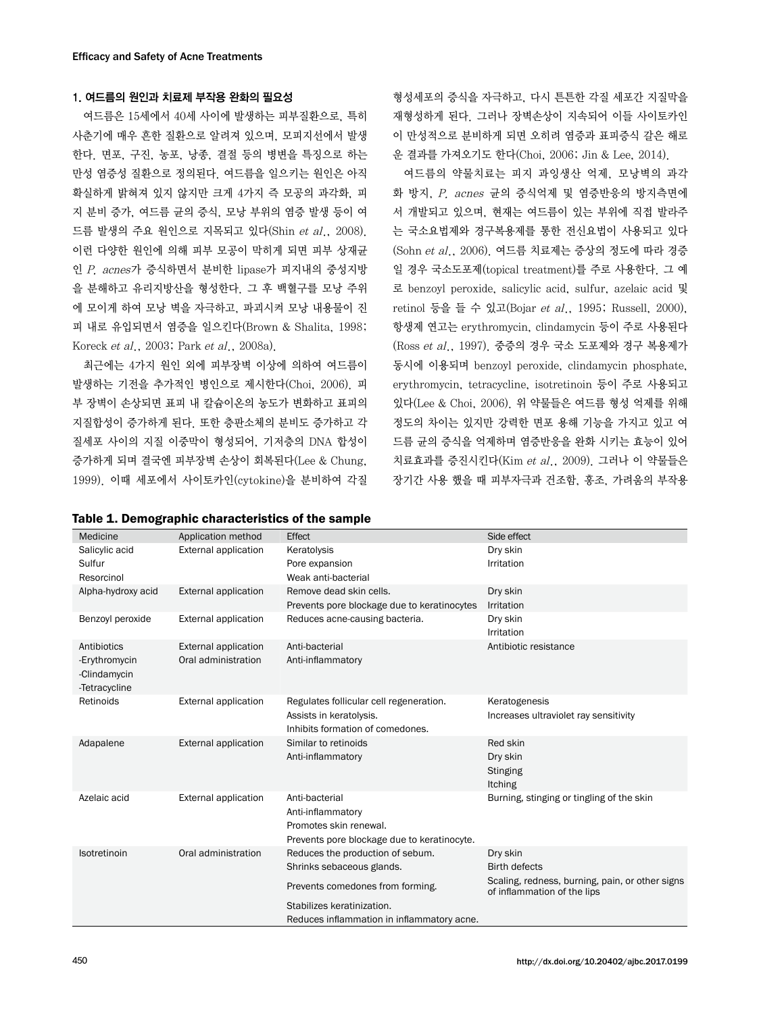### 1. 여드름의 원인과 치료제 부작용 완화의 필요성

여드름은 15세에서 40세 사이에 발생하는 피부질환으로, 특히 사춘기에 매우 흔한 질환으로 알려져 있으며, 모피지선에서 발생 한다. 면포, 구진, 농포, 낭종, 결절 등의 병변을 특징으로 하는 만성 염증성 질환으로 정의된다. 여드름을 일으키는 원인은 아직 확실하게 밝혀져 있지 않지만 크게 4가지 즉 모공의 과각화, 피 지 분비 증가, 여드름 균의 증식, 모낭 부위의 염증 발생 등이 여 드름 발생의 주요 원인으로 지목되고 있다(Shin et al., 2008). 이런 다양한 원인에 의해 피부 모공이 막히게 되면 피부 상재균 인 P. acnes가 증식하면서 분비한 lipase가 피지내의 중성지방 을 분해하고 유리지방산을 형성한다. 그 후 백혈구를 모낭 주위 에 모이게 하여 모낭 벽을 자극하고, 파괴시켜 모낭 내용물이 진 피 내로 유입되면서 염증을 일으킨다(Brown & Shalita, 1998; Koreck et al., 2003; Park et al., 2008a).

최근에는 4가지 원인 외에 피부장벽 이상에 의하여 여드름이 발생하는 기전을 추가적인 병인으로 제시한다(Choi, 2006). 피 부 장벽이 손상되면 표피 내 칼슘이온의 농도가 변화하고 표피의 지질합성이 증가하게 된다. 또한 층판소체의 분비도 증가하고 각 질세포 사이의 지질 이중막이 형성되어, 기저층의 DNA 합성이 증가하게 되며 결국엔 피부장벽 손상이 회복된다(Lee & Chung, 1999). 이때 세포에서 사이토카인(cytokine)을 분비하여 각질

#### Table 1. Demographic characteristics of the sample

형성세포의 증식을 자극하고, 다시 튼튼한 각질 세포간 지질막을 재형성하게 된다. 그러나 장벽손상이 지속되어 이들 사이토카인 이 만성적으로 분비하게 되면 오히려 염증과 표피증식 갈은 해로 운 결과를 가져오기도 한다(Choi, 2006; Jin & Lee, 2014).

여드름의 약물치료는 피지 과잉생산 억제, 모낭벽의 과각 화 방지, P. acnes 균의 증식억제 및 염증반응의 방지측면에 서 개발되고 있으며, 현재는 여드름이 있는 부위에 직접 발라주 는 국소요법제와 경구복용제를 통한 전신요법이 사용되고 있다 (Sohn et al., 2006). 여드름 치료제는 증상의 정도에 따라 경증 일 경우 국소도포제(topical treatment)를 주로 사용한다. 그 예 로 benzoyl peroxide, salicylic acid, sulfur, azelaic acid 및 retinol 등을 들 수 있고(Bojar et al., 1995; Russell, 2000), 항생제 연고는 erythromycin, clindamycin 등이 주로 사용된다 (Ross et al., 1997). 중증의 경우 국소 도포제와 경구 복용제가 동시에 이용되며 benzoyl peroxide, clindamycin phosphate, erythromycin, tetracycline, isotretinoin 등이 주로 사용되고 있다(Lee & Choi, 2006). 위 약물들은 여드름 형성 억제를 위해 정도의 차이는 있지만 강력한 면포 용해 기능을 가지고 있고 여 드름 균의 증식을 억제하며 염증반응을 완화 시키는 효능이 있어 치료효과를 증진시킨다(Kim et al., 2009). 그러나 이 약물들은 장기간 사용 했을 때 피부자극과 건조함, 홍조, 가려움의 부작용

| Medicine                                                      | Application method                          | Effect                                                                                                       | Side effect                                                                    |
|---------------------------------------------------------------|---------------------------------------------|--------------------------------------------------------------------------------------------------------------|--------------------------------------------------------------------------------|
| Salicylic acid<br>Sulfur<br>Resorcinol                        | <b>External application</b>                 | Keratolysis<br>Pore expansion<br>Weak anti-bacterial                                                         | Dry skin<br>Irritation                                                         |
| Alpha-hydroxy acid                                            | External application                        | Remove dead skin cells.<br>Prevents pore blockage due to keratinocytes                                       | Dry skin<br>Irritation                                                         |
| Benzoyl peroxide                                              | External application                        | Reduces acne-causing bacteria.                                                                               | Dry skin<br>Irritation                                                         |
| Antibiotics<br>-Erythromycin<br>-Clindamycin<br>-Tetracycline | External application<br>Oral administration | Anti-bacterial<br>Anti-inflammatory                                                                          | Antibiotic resistance                                                          |
| Retinoids                                                     | External application                        | Regulates follicular cell regeneration.<br>Assists in keratolysis.<br>Inhibits formation of comedones.       | Keratogenesis<br>Increases ultraviolet ray sensitivity                         |
| Adapalene                                                     | <b>External application</b>                 | Similar to retinoids<br>Anti-inflammatory                                                                    | Red skin<br>Dry skin<br>Stinging<br><b>Itching</b>                             |
| Azelaic acid                                                  | External application                        | Anti-bacterial<br>Anti-inflammatory<br>Promotes skin renewal.<br>Prevents pore blockage due to keratinocyte. | Burning, stinging or tingling of the skin                                      |
| Isotretinoin                                                  | Oral administration                         | Reduces the production of sebum.                                                                             | Dry skin                                                                       |
|                                                               |                                             | Shrinks sebaceous glands.                                                                                    | <b>Birth defects</b>                                                           |
|                                                               |                                             | Prevents comedones from forming.                                                                             | Scaling, redness, burning, pain, or other signs<br>of inflammation of the lips |
|                                                               |                                             | Stabilizes keratinization.                                                                                   |                                                                                |
|                                                               |                                             | Reduces inflammation in inflammatory acne.                                                                   |                                                                                |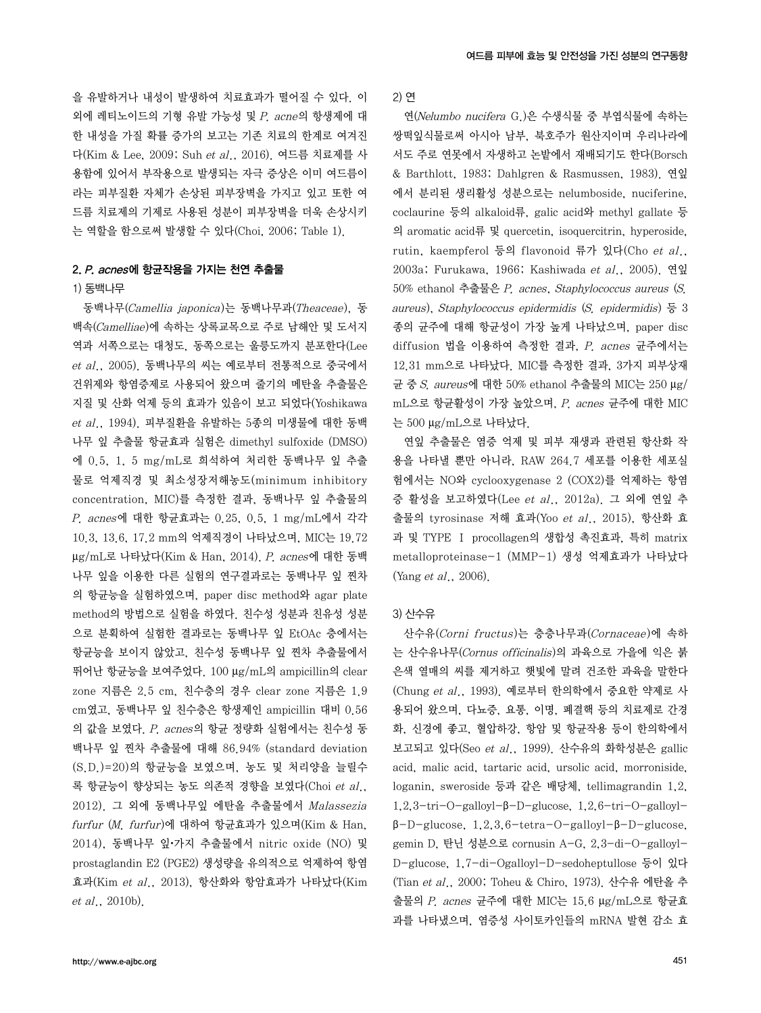을 유발하거나 내성이 발생하여 치료효과가 떨어질 수 있다. 이 외에 레티노이드의 기형 유발 가능성 및 P. acne의 항생제에 대 한 내성을 가질 확률 증가의 보고는 기존 치료의 한계로 여겨진 다(Kim & Lee, 2009; Suh et al., 2016). 여드름 치료제를 사 용함에 있어서 부작용으로 발생되는 자극 증상은 이미 여드름이 라는 피부질환 자체가 손상된 피부장벽을 가지고 있고 또한 여 드름 치료제의 기제로 사용된 성분이 피부장벽을 더욱 손상시키 는 역할을 함으로써 발생할 수 있다(Choi, 2006; Table 1).

### 2. P. acnes에 항균작용을 가지는 천연 추출물

#### 1) 동백나무

동백나무(Camellia japonica)는 동백나무과(Theaceae), 동 백속(Camelliae)에 속하는 상록교목으로 주로 남해안 및 도서지 역과 서쪽으로는 대청도, 동쪽으로는 울릉도까지 분포한다(Lee et al., 2005). 동백나무의 씨는 예로부터 전통적으로 중국에서 건위제와 항염증제로 사용되어 왔으며 줄기의 메탄올 추출물은 지질 및 산화 억제 등의 효과가 있음이 보고 되었다(Yoshikawa  $et$   $al.$ ,  $1994$ ). 피부질환을 유발하는 5종의 미생물에 대한 동백 나무 잎 추출물 항균효과 실험은 dimethyl sulfoxide (DMSO) 에 0.5, 1, 5 mg/mL로 희석하여 처리한 동백나무 잎 추출 물로 억제직경 및 최소성장저해농도(minimum inhibitory concentration, MIC)를 측정한 결과, 동백나무 잎 추출물의 P. acnes에 대한 항균효과는 0.25, 0.5, 1 mg/mL에서 각각 10.3, 13.6, 17.2 mm의 억제직경이 나타났으며, MIC는 19.72 μg/mL로 나타났다(Kim & Han, 2014). P. acnes에 대한 동백 나무 잎을 이용한 다른 실험의 연구결과로는 동백나무 잎 찐차 의 항균능을 실험하였으며, paper disc method와 agar plate method의 방법으로 실험을 하였다. 친수성 성분과 친유성 성분 으로 분획하여 실험한 결과로는 동백나무 잎 EtOAc 층에서는 항균능을 보이지 않았고, 친수성 동백나무 잎 찐차 추출물에서 뛰어난 항균능을 보여주었다. 100 μg/mL의 ampicillin의 clear zone 지름은 2.5 cm, 친수층의 경우 clear zone 지름은 1.9 cm였고, 동백나무 잎 친수층은 항생제인 ampicillin 대비 0.56 의 값을 보였다. P. acnes의 항균 정량화 실험에서는 친수성 동 백나무 잎 찐차 추출물에 대해 86.94% (standard deviation (S.D.)=20)의 항균능을 보였으며, 농도 및 처리양을 늘릴수 록 항균능이 향상되는 농도 의존적 경향을 보였다(Choi et al., 2012). 그 외에 동백나무잎 에탄올 추출물에서 Malassezia furfur (M. furfur)에 대하여 항균효과가 있으며(Kim & Han, 2014), 동백나무 잎•가지 추출물에서 nitric oxide (NO) 및 prostaglandin E2 (PGE2) 생성량을 유의적으로 억제하여 항염 효과(Kim et al., 2013), 항산화와 항암효과가 나타났다(Kim et al., 2010b).

2) 연

연(Nelumbo nucifera G.)은 수생식물 중 부엽식물에 속하는 쌍떡잎식물로써 아시아 남부, 북호주가 원산지이며 우리나라에 서도 주로 연못에서 자생하고 논밭에서 재배되기도 한다(Borsch & Barthlott, 1983; Dahlgren & Rasmussen, 1983). 연잎 에서 분리된 생리활성 성분으로는 nelumboside, nuciferine, coclaurine 등의 alkaloid류, galic acid와 methyl gallate 등 의 aromatic acid류 및 quercetin, isoquercitrin, hyperoside, rutin, kaempferol 등의 flavonoid 류가 있다(Cho et al., 2003a; Furukawa, 1966; Kashiwada et al., 2005). 연잎 50% ethanol 추출물은 P. acnes, Staphylococcus aureus (S. aureus), Staphylococcus epidermidis (S. epidermidis)  $\frac{6}{9}$  3 종의 균주에 대해 항균성이 가장 높게 나타났으며, paper disc diffusion 법을 이용하여 측정한 결과, P. acnes 균주에서는 12.31 mm으로 나타났다. MIC를 측정한 결과, 3가지 피부상재 균 중 S. aureus에 대한 50% ethanol 추출물의 MIC는 250 μg/ mL으로 항균활성이 가장 높았으며, P. acnes 균주에 대한 MIC 는 500 μg/mL으로 나타났다.

연잎 추출물은 염증 억제 및 피부 재생과 관련된 항산화 작 용을 나타낼 뿐만 아니라, RAW 264.7 세포를 이용한 세포실 험에서는 NO와 cyclooxygenase 2 (COX2)를 억제하는 항염 증 활성을 보고하였다(Lee et al., 2012a). 그 외에 연잎 추 출물의 tyrosinase 저해 효과(Yoo et al., 2015), 항산화 효 과 및 TYPE Ⅰ procollagen의 생합성 촉진효과, 특히 matrix metalloproteinase-1 (MMP-1) 생성 억제효과가 나타났다 (Yang et al., 2006).

#### 3) 산수유

산수유(Corni fructus)는 층층나무과(Cornaceae)에 속하 는 산수유나무(Cornus officinalis)의 과육으로 가을에 익은 붉 은색 열매의 씨를 제거하고 햇빛에 말려 건조한 과육을 말한다 (Chung et al., 1993). 예로부터 한의학에서 중요한 약제로 사 용되어 왔으며, 다뇨증, 요통, 이명, 폐결핵 등의 치료제로 간경 화, 신경에 좋고, 혈압하강, 항암 및 항균작용 등이 한의학에서 보고되고 있다(Seo et al., 1999). 산수유의 화학성분은 gallic acid, malic acid, tartaric acid, ursolic acid, morroniside, loganin, sweroside 등과 같은 배당체, tellimagrandin 1,2, 1,2,3-tri-O-galloyl-β-D-glucose, 1,2,6-tri-O-galloylβ-D-glucose, 1,2,3,6-tetra-O-galloyl-β-D-glucose, gemin D, 탄닌 성분으로 cornusin A-G, 2,3-di-O-galloyl-D-glucose, 1,7-di-Ogalloyl-D-sedoheptullose 등이 있다 (Tian et al., 2000; Toheu & Chiro, 1973). 산수유 에탄올 추 출물의 P. acnes 균주에 대한 MIC는 15.6 μg/mL으로 항균효 과를 나타냈으며, 염증성 사이토카인들의 mRNA 발현 감소 효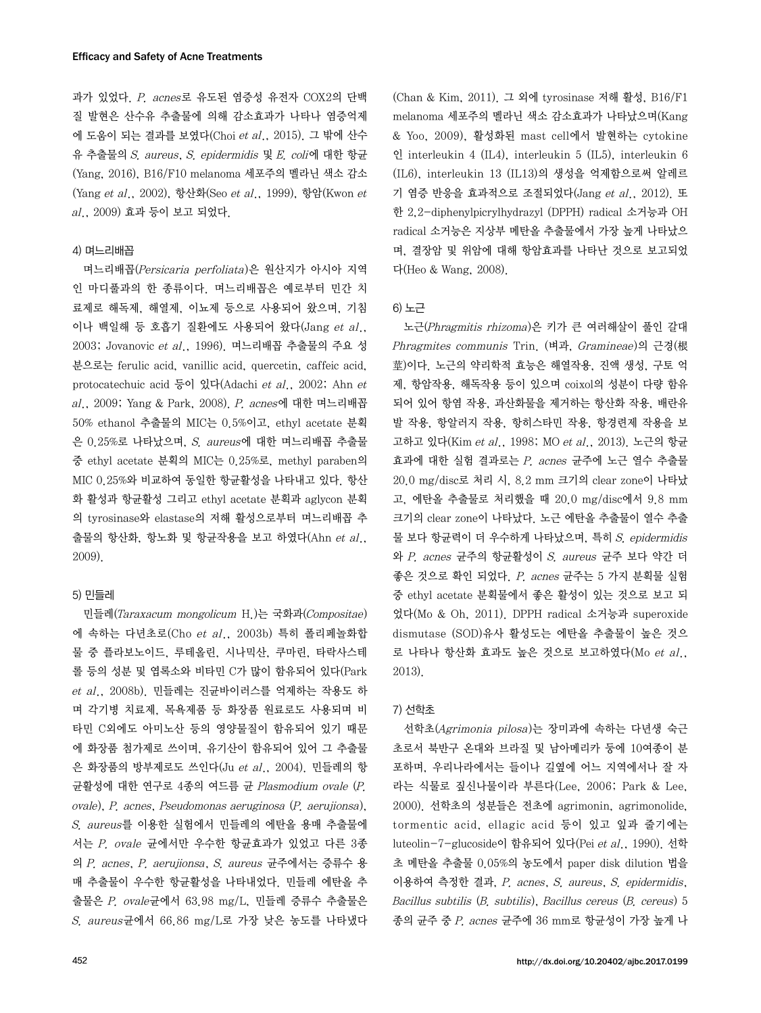과가 있었다. P. acnes로 유도된 염증성 유전자 COX2의 단백 질 발현은 산수유 추출물에 의해 감소효과가 나타나 염증억제 에 도움이 되는 결과를 보였다(Choi et al., 2015). 그 밖에 산수 유 추출물의 S. aureus, S. epidermidis 및 E. coli에 대한 항균 (Yang, 2016), B16/F10 melanoma 세포주의 멜라닌 색소 감소 (Yang et al., 2002), 항산화(Seo et al., 1999), 항암(Kwon et al., 2009) 효과 등이 보고 되었다.

### 4) 며느리배꼽

며느리배꼽(Persicaria perfoliata)은 원산지가 아시아 지역 인 마디풀과의 한 종류이다. 며느리배꼽은 예로부터 민간 치 료제로 해독제, 해열제, 이뇨제 등으로 사용되어 왔으며, 기침 이나 백일해 등 호흡기 질환에도 사용되어 왔다(Jang et al., 2003; Jovanovic et al., 1996). 며느리배꼽 추출물의 주요 성 분으로는 ferulic acid, vanillic acid, quercetin, caffeic acid, protocatechuic acid 등이 있다(Adachi et al., 2002; Ahn et al., 2009; Yang & Park, 2008). P. acnes에 대한 며느리배꼽 50% ethanol 추출물의 MIC는 0.5%이고, ethyl acetate 분획 은 0.25%로 나타났으며, S. aureus에 대한 며느리배꼽 추출물 중 ethyl acetate 분획의 MIC는 0.25%로, methyl paraben의 MIC 0.25%와 비교하여 동일한 항균활성을 나타내고 있다. 항산 화 활성과 항균활성 그리고 ethyl acetate 분획과 aglycon 분획 의 tyrosinase와 elastase의 저해 활성으로부터 며느리배꼽 추 출물의 항산화, 항노화 및 항균작용을 보고 하였다(Ahn et al., 2009).

#### 5) 민들레

민들레(Taraxacum mongolicum H.)는 국화과(Compositae) 에 속하는 다년초로(Cho et al., 2003b) 특히 폴리페놀화합 물 중 플라보노이드, 루테올린, 시나믹산, 쿠마린, 타락사스테 롤 등의 성분 및 엽록소와 비타민 C가 많이 함유되어 있다(Park et al., 2008b). 민들레는 진균바이러스를 억제하는 작용도 하 며 각기병 치료제, 목욕제품 등 화장품 원료로도 사용되며 비 타민 C외에도 아미노산 등의 영양물질이 함유되어 있기 때문 에 화장품 첨가제로 쓰이며, 유기산이 함유되어 있어 그 추출물 은 화장품의 방부제로도 쓰인다(Ju et al., 2004). 민들레의 항 균활성에 대한 연구로 4종의 여드름 균 Plasmodium ovale (P. ovale), P. acnes, Pseudomonas aeruginosa (P. aerujionsa), S. aureus를 이용한 실험에서 민들레의 에탄올 용매 추출물에 서는 P. ovale 균에서만 우수한 항균효과가 있었고 다른 3종 의 P. acnes, P. aerujionsa, S. aureus 균주에서는 증류수 용 매 추출물이 우수한 항균활성을 나타내었다. 민들레 에탄올 추 출물은 P. ovale균에서 63.98 mg/L, 민들레 증류수 추출물은 S. aureus균에서 66.86 mg/L로 가장 낮은 농도를 나타냈다

(Chan & Kim, 2011). 그 외에 tyrosinase 저해 활성, B16/F1 melanoma 세포주의 멜라닌 색소 감소효과가 나타났으며(Kang & Yoo, 2009), 활성화된 mast cell에서 발현하는 cytokine 인 interleukin 4 (IL4), interleukin 5 (IL5), interleukin 6 (IL6), interleukin 13 (IL13)의 생성을 억제함으로써 알레르 기 염증 반응을 효과적으로 조절되었다(Jang et al., 2012). 또 한 2,2-diphenylpicrylhydrazyl (DPPH) radical 소거능과 OH radical 소거능은 지상부 메탄올 추출물에서 가장 높게 나타났으 며, 결장암 및 위암에 대해 항암효과를 나타난 것으로 보고되었 다(Heo & Wang, 2008).

#### 6) 노근

노근(Phragmitis rhizoma)은 키가 큰 여러해살이 풀인 갈대 Phragmites communis Trin. (벼과, Gramineae)의 근경(根 莖)이다. 노근의 약리학적 효능은 해열작용, 진액 생성, 구토 억 제, 항암작용, 해독작용 등이 있으며 coixol의 성분이 다량 함유 되어 있어 항염 작용, 과산화물을 제거하는 항산화 작용, 배란유 발 작용, 항알러지 작용, 항히스타민 작용, 항경련제 작용을 보 고하고 있다(Kim et al., 1998; MO et al., 2013). 노근의 항균 효과에 대한 실험 결과로는 P. acnes 균주에 노근 열수 추출물 20.0 mg/disc로 처리 시, 8.2 mm 크기의 clear zone이 나타났 고, 에탄올 추출물로 처리했을 때 20.0 mg/disc에서 9.8 mm 크기의 clear zone이 나타났다. 노근 에탄올 추출물이 열수 추출 물 보다 항균력이 더 우수하게 나타났으며, 특히 S. epidermidis 와 P. acnes 균주의 항균활성이 S. aureus 균주 보다 약간 더 좋은 것으로 확인 되었다. P. acnes 균주는 5 가지 분획물 실험 중 ethyl acetate 분획물에서 좋은 활성이 있는 것으로 보고 되 었다(Mo & Oh, 2011). DPPH radical 소거능과 superoxide dismutase (SOD)유사 활성도는 에탄올 추출물이 높은 것으 로 나타나 항산화 효과도 높은 것으로 보고하였다(Mo et al., 2013).

#### 7) 선학초

선학초(Agrimonia pilosa)는 장미과에 속하는 다년생 숙근 초로서 북반구 온대와 브라질 및 남아메리카 둥에 10여종이 분 포하며, 우리나라에서는 들이나 길옆에 어느 지역에서나 잘 자 라는 식물로 짚신나물이라 부른다(Lee, 2006; Park & Lee, 2000). 선학초의 성분들은 전초에 agrimonin, agrimonolide, tormentic acid, ellagic acid 등이 있고 잎과 줄기에는 luteolin-7-glucoside이 함유되어 있다(Pei et al., 1990). 선학 초 메탄올 추출물 0.05%의 농도에서 paper disk dilution 법을 이용하여 측정한 결과, P. acnes, S. aureus, S. epidermidis, Bacillus subtilis (B. subtilis), Bacillus cereus (B. cereus) 5 종의 균주 중 P. acnes 균주에 36 mm로 항균성이 가장 높게 나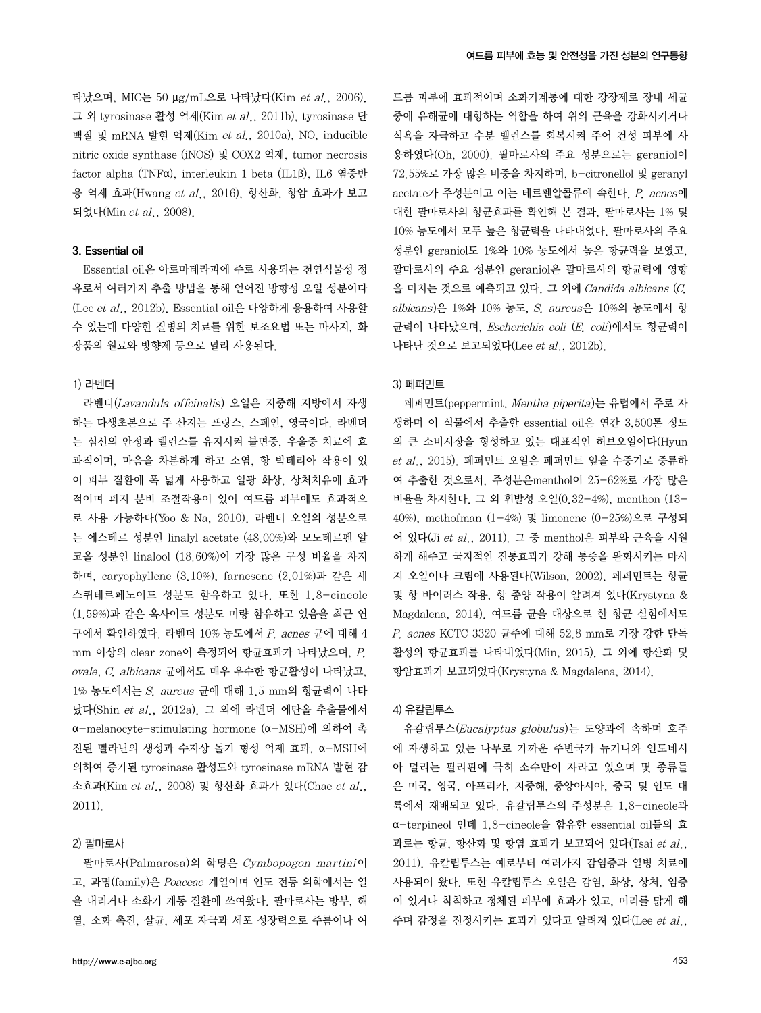타났으며, MIC는 50 μg/mL으로 나타났다(Kim et al., 2006). 그 외 tyrosinase 활성 억제(Kim et al., 2011b), tyrosinase 단 백질 및 mRNA 발현 억제(Kim et al., 2010a), NO, inducible nitric oxide synthase (iNOS) 및 COX2 억제, tumor necrosis factor alpha (TNFα), interleukin 1 beta (IL1β), IL6 염증반 응 억제 효과(Hwang et al., 2016), 항산화, 항암 효과가 보고 되었다(Min et al., 2008).

### 3. Essential oil

Essential oil은 아로마테라피에 주로 사용되는 천연식물성 정 유로서 여러가지 추출 방법을 통해 얻어진 방향성 오일 성분이다 (Lee et al., 2012b). Essential oil은 다양하게 응용하여 사용할 수 있는데 다양한 질병의 치료를 위한 보조요법 또는 마사지, 화 장품의 원료와 방향제 등으로 널리 사용된다.

#### 1) 라벤더

라벤더(Lavandula offcinalis) 오일은 지중해 지방에서 자생 하는 다생초본으로 주 산지는 프랑스, 스페인, 영국이다. 라벤더 는 심신의 안정과 밸런스를 유지시켜 불면증, 우울증 치료에 효 과적이며, 마음을 차분하게 하고 소염, 항 박테리아 작용이 있 어 피부 질환에 폭 넓게 사용하고 일광 화상, 상처치유에 효과 적이며 피지 분비 조절작용이 있어 여드름 피부에도 효과적으 로 사용 가능하다(Yoo & Na, 2010). 라벤더 오일의 성분으로 는 에스테르 성분인 linalyl acetate (48.00%)와 모노테르펜 알 코올 성분인 linalool (18.60%)이 가장 많은 구성 비율을 차지 하며, caryophyllene (3.10%), farnesene (2.01%)과 같은 세 스퀴테르페노이드 성분도 함유하고 있다. 또한 1.8-cineole (1.59%)과 같은 옥사이드 성분도 미량 함유하고 있음을 최근 연 구에서 확인하였다. 라벤더 10% 농도에서 P. acnes 균에 대해 4 mm 이상의 clear zone이 측정되어 항균효과가 나타났으며, P. ovale, C. albicans 균에서도 매우 우수한 항균활성이 나타났고, 1% 농도에서는 S. aureus 균에 대해 1.5 mm의 항균력이 나타 났다(Shin et al., 2012a). 그 외에 라벤더 에탄올 추출물에서 α-melanocyte-stimulating hormone (α-MSH)에 의하여 촉 진된 멜라닌의 생성과 수지상 돌기 형성 억제 효과, α-MSH에 의하여 증가된 tyrosinase 활성도와 tyrosinase mRNA 발현 감 소효과(Kim et al., 2008) 및 항산화 효과가 있다(Chae et al., 2011).

#### 2) 팔마로사

팔마로사(Palmarosa)의 학명은 Cymbopogon martini이 고, 과명(family)은 Poaceae 계열이며 인도 전통 의학에서는 열 을 내리거나 소화기 계통 질환에 쓰여왔다. 팔마로사는 방부, 해 열, 소화 촉진, 살균, 세포 자극과 세포 성장력으로 주름이나 여

드름 피부에 효과적이며 소화기계통에 대한 강장제로 장내 세균 중에 유해균에 대항하는 역할을 하여 위의 근육을 강화시키거나 식욕을 자극하고 수분 밸런스를 회복시켜 주어 건성 피부에 사 용하였다(Oh, 2000). 팔마로사의 주요 성분으로는 geraniol이 72.55%로 가장 많은 비중을 차지하며, b-citronellol 및 geranyl acetate가 주성분이고 이는 테르펜알콜류에 속한다. P. acnes에 대한 팔마로사의 항균효과를 확인해 본 결과, 팔마로사는 1% 및 10% 농도에서 모두 높은 항균력을 나타내었다. 팔마로사의 주요 성분인 geraniol도 1%와 10% 농도에서 높은 항균력을 보였고, 팔마로사의 주요 성분인 geraniol은 팔마로사의 항균력에 영향 을 미치는 것으로 예측되고 있다. 그 외에 Candida albicans (C. albicans)은 1%와 10% 농도, S. aureus은 10%의 농도에서 항 균력이 나타났으며, Escherichia coli (E. coli)에서도 항균력이 나타난 것으로 보고되었다(Lee et al., 2012b).

#### 3) 페퍼민트

페퍼민트(peppermint, Mentha piperita)는 유럽에서 주로 자 생하며 이 식물에서 추출한 essential oil은 연간 3,500톤 정도 의 큰 소비시장을 형성하고 있는 대표적인 허브오일이다(Hyun et al., 2015). 페퍼민트 오일은 페퍼민트 잎을 수증기로 증류하 여 추출한 것으로서, 주성분은menthol이 25-62%로 가장 많은 비율을 차지한다. 그 외 휘발성 오일(0.32-4%), menthon (13- 40%), methofman (1-4%) 및 limonene (0-25%)으로 구성되 어 있다(Ji et al., 2011). 그 중 menthol은 피부와 근육을 시원 하게 해주고 국지적인 진통효과가 강해 통증을 완화시키는 마사 지 오일이나 크림에 사용된다(Wilson, 2002). 페퍼민트는 항균 및 항 바이러스 작용, 항 종양 작용이 알려져 있다(Krystyna & Magdalena, 2014). 여드름 균을 대상으로 한 항균 실험에서도 P. acnes KCTC 3320 균주에 대해 52.8 mm로 가장 강한 단독 활성의 항균효과를 나타내었다(Min, 2015). 그 외에 항산화 및 항암효과가 보고되었다(Krystyna & Magdalena, 2014).

#### 4) 유칼립투스

유칼립투스(Eucalyptus globulus)는 도양과에 속하며 호주 에 자생하고 있는 나무로 가까운 주변국가 뉴기니와 인도네시 아 멀리는 필리핀에 극히 소수만이 자라고 있으며 몇 종류들 은 미국, 영국, 아프리카, 지중해, 중앙아시아, 중국 및 인도 대 륙에서 재배되고 있다. 유칼립투스의 주성분은 1,8-cineole과 α-terpineol 인데 1,8-cineole을 함유한 essential oil들의 효 과로는 항균, 항산화 및 항염 효과가 보고되어 있다 $(Ts$ ai et al., 2011). 유칼립투스는 예로부터 여러가지 감염증과 열병 치료에 사용되어 왔다. 또한 유칼립투스 오일은 감염, 화상, 상처, 염증 이 있거나 칙칙하고 정체된 피부에 효과가 있고, 머리를 맑게 해 주며 감정을 진정시키는 효과가 있다고 알려져 있다(Lee et al.,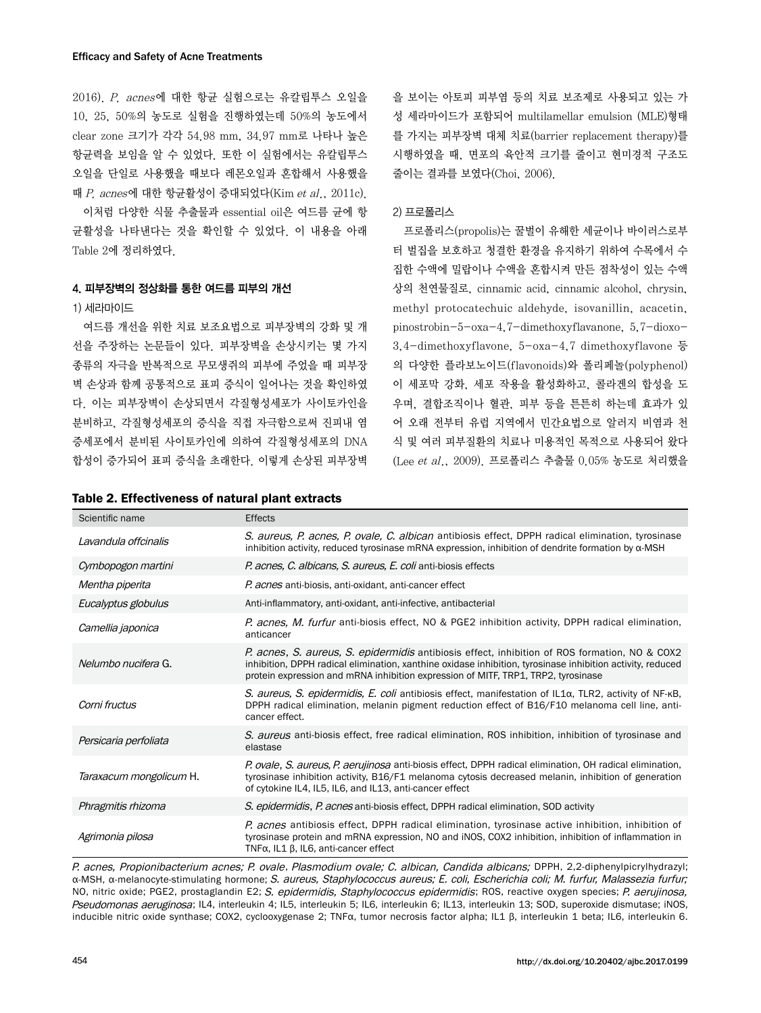2016). P. acnes에 대한 항균 실험으로는 유칼립투스 오일을 10, 25, 50%의 농도로 실험을 진행하였는데 50%의 농도에서 clear zone 크기가 각각 54.98 mm, 34.97 mm로 나타나 높은 항균력을 보임을 알 수 있었다. 또한 이 실험에서는 유칼립투스 오일을 단일로 사용했을 때보다 레몬오일과 혼합해서 사용했을 때 P. acnes에 대한 항균활성이 증대되었다(Kim et al., 2011c).

이처럼 다양한 식물 추출물과 essential oil은 여드름 균에 항 균활성을 나타낸다는 것을 확인할 수 있었다. 이 내용을 아래 Table 2에 정리하였다.

#### 4. 피부장벽의 정상화를 통한 여드름 피부의 개선

### 1) 세라마이드

여드름 개선을 위한 치료 보조요법으로 피부장벽의 강화 및 개 선을 주장하는 논문들이 있다. 피부장벽을 손상시키는 몇 가지 종류의 자극을 반복적으로 무모생쥐의 피부에 주었을 때 피부장 벽 손상과 함께 공통적으로 표피 증식이 일어나는 것을 확인하였 다. 이는 피부장벽이 손상되면서 각질형성세포가 사이토카인을 분비하고, 각질형성세포의 증식을 직접 자극함으로써 진피내 염 증세포에서 분비된 사이토카인에 의하여 각질형성세포의 DNA 합성이 증가되어 표피 증식을 초래한다. 이렇게 손상된 피부장벽

| Table 2. Effectiveness of natural plant extracts |  |  |
|--------------------------------------------------|--|--|
|--------------------------------------------------|--|--|

을 보이는 아토피 피부염 등의 치료 보조제로 사용되고 있는 가 성 세라마이드가 포함되어 multilamellar emulsion (MLE)형태 를 가지는 피부장벽 대체 치료(barrier replacement therapy)를 시행하였을 때, 면포의 육안적 크기를 줄이고 현미경적 구조도 줄이는 결과를 보였다(Choi, 2006).

#### 2) 프로폴리스

프로폴리스(propolis)는 꿀벌이 유해한 세균이나 바이러스로부 터 벌집을 보호하고 청결한 환경을 유지하기 위하여 수목에서 수 집한 수액에 밀랍이나 수액을 혼합시켜 만든 점착성이 있는 수액 상의 천연물질로, cinnamic acid, cinnamic alcohol, chrysin, methyl protocatechuic aldehyde, isovanillin, acacetin, pinostrobin-5-oxa-4,7-dimethoxyflavanone, 5,7-dioxo-3,4-dimethoxyflavone, 5-oxa-4,7 dimethoxyflavone 등 의 다양한 플라보노이드(flavonoids)와 폴리페놀(polyphenol) 이 세포막 강화, 세포 작용을 활성화하고, 콜라겐의 합성을 도 우며, 결합조직이나 혈관, 피부 등을 튼튼히 하는데 효과가 있 어 오래 전부터 유럽 지역에서 민간요법으로 알러지 비염과 천 식 및 여러 피부질환의 치료나 미용적인 목적으로 사용되어 왔다 (Lee et al., 2009). 프로폴리스 추출물 0.05% 농도로 처리했을

| Scientific name         | <b>Effects</b>                                                                                                                                                                                                                                                                                   |
|-------------------------|--------------------------------------------------------------------------------------------------------------------------------------------------------------------------------------------------------------------------------------------------------------------------------------------------|
| Lavandula offcinalis    | S. aureus, P. acnes, P. ovale, C. albican antibiosis effect, DPPH radical elimination, tyrosinase<br>inhibition activity, reduced tyrosinase mRNA expression, inhibition of dendrite formation by $\alpha$ -MSH                                                                                  |
| Cymbopogon martini      | P. acnes, C. albicans, S. aureus, E. coli anti-biosis effects                                                                                                                                                                                                                                    |
| Mentha piperita         | P. acnes anti-biosis, anti-oxidant, anti-cancer effect                                                                                                                                                                                                                                           |
| Eucalyptus globulus     | Anti-inflammatory, anti-oxidant, anti-infective, antibacterial                                                                                                                                                                                                                                   |
| Camellia japonica       | P. acnes, M. furfur anti-biosis effect, NO & PGE2 inhibition activity, DPPH radical elimination,<br>anticancer                                                                                                                                                                                   |
| Nelumbo nucifera G.     | P. acnes, S. aureus, S. epidermidis antibiosis effect, inhibition of ROS formation, NO & COX2<br>inhibition, DPPH radical elimination, xanthine oxidase inhibition, tyrosinase inhibition activity, reduced<br>protein expression and mRNA inhibition expression of MITF, TRP1, TRP2, tyrosinase |
| Corni fructus           | S. aureus, S. epidermidis, E. coli antibiosis effect, manifestation of IL1a, TLR2, activity of NF-KB,<br>DPPH radical elimination, melanin pigment reduction effect of B16/F10 melanoma cell line, anti-<br>cancer effect.                                                                       |
| Persicaria perfoliata   | S. aureus anti-biosis effect, free radical elimination, ROS inhibition, inhibition of tyrosinase and<br>elastase                                                                                                                                                                                 |
| Taraxacum mongolicum H. | P. ovale, S. aureus, P. aerujinosa anti-biosis effect, DPPH radical elimination, OH radical elimination,<br>tyrosinase inhibition activity, B16/F1 melanoma cytosis decreased melanin, inhibition of generation<br>of cytokine IL4, IL5, IL6, and IL13, anti-cancer effect                       |
| Phragmitis rhizoma      | S. epidermidis, P. acnes anti-biosis effect, DPPH radical elimination, SOD activity                                                                                                                                                                                                              |
| Agrimonia pilosa        | P. acnes antibiosis effect, DPPH radical elimination, tyrosinase active inhibition, inhibition of<br>tyrosinase protein and mRNA expression, NO and iNOS, COX2 inhibition, inhibition of inflammation in<br>$TNF\alpha$ , IL1 $\beta$ , IL6, anti-cancer effect                                  |

P. acnes, Propionibacterium acnes; P. ovale, Plasmodium ovale; C. albican, Candida albicans; DPPH, 2,2-diphenylpicrylhydrazyl; α-MSH, α-melanocyte-stimulating hormone; S. aureus, Staphylococcus aureus; E. coli, Escherichia coli; M. furfur, Malassezia furfur; NO, nitric oxide; PGE2, prostaglandin E2; S. epidermidis, Staphylococcus epidermidis; ROS, reactive oxygen species; P. aerujinosa, Pseudomonas aeruginosa; IL4, interleukin 4; IL5, interleukin 5; IL6, interleukin 6; IL13, interleukin 13; SOD, superoxide dismutase; iNOS, inducible nitric oxide synthase; COX2, cyclooxygenase 2; TNFα, tumor necrosis factor alpha; IL1 β, interleukin 1 beta; IL6, interleukin 6.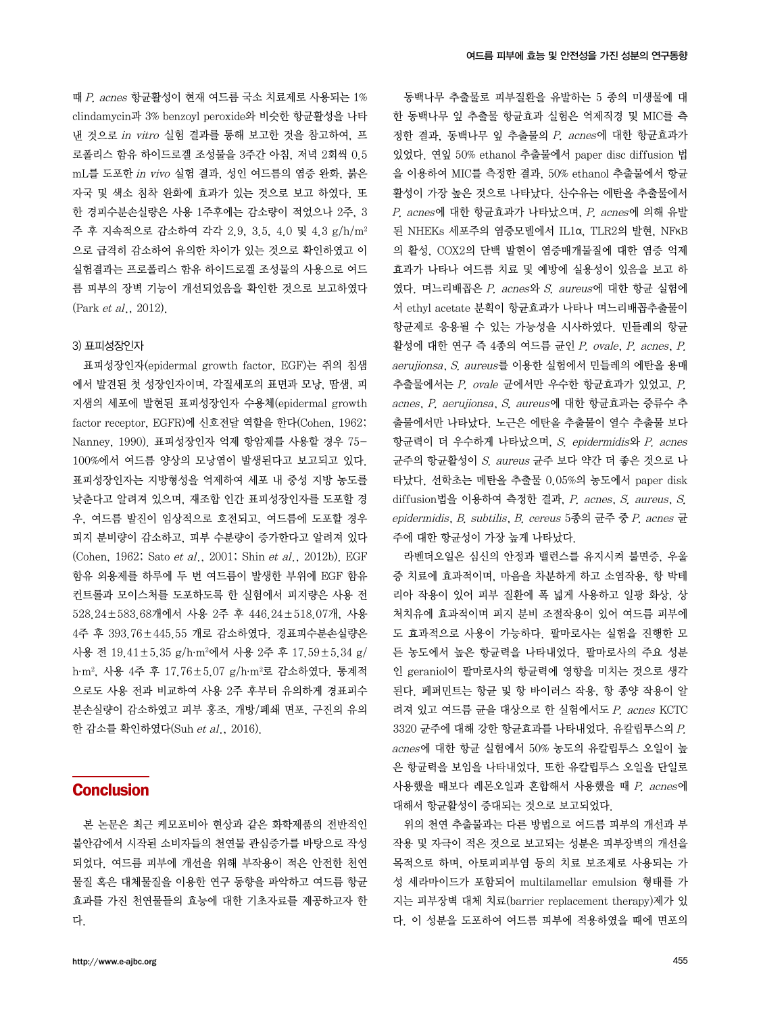때 P. acnes 항균활성이 현재 여드름 국소 치료제로 사용되는 1% clindamycin과 3% benzoyl peroxide와 비슷한 항균활성을 나타 낸 것으로 in vitro 실험 결과를 통해 보고한 것을 참고하여, 프 로폴리스 함유 하이드로겔 조성물을 3주간 아침, 저녁 2회씩 0.5 mL를 도포한 in vivo 실험 결과, 성인 여드름의 염증 완화, 붉은 자국 및 색소 침착 완화에 효과가 있는 것으로 보고 하였다. 또 한 경피수분손실량은 사용 1주후에는 감소량이 적었으나 2주, 3 주 후 지속적으로 감소하여 각각 2.9, 3.5, 4.0 및 4.3 g/h/m2 으로 급격히 감소하여 유의한 차이가 있는 것으로 확인하였고 이 실험결과는 프로폴리스 함유 하이드로겔 조성물의 사용으로 여드 름 피부의 장벽 기능이 개선되었음을 확인한 것으로 보고하였다 (Park et al., 2012).

#### 3) 표피성장인자

표피성장인자(epidermal growth factor, EGF)는 쥐의 침샘 에서 발견된 첫 성장인자이며, 각질세포의 표면과 모낭, 땀샘, 피 지샘의 세포에 발현된 표피성장인자 수용체(epidermal growth factor receptor, EGFR)에 신호전달 역할을 한다(Cohen, 1962; Nanney, 1990). 표피성장인자 억제 항암제를 사용할 경우 75- 100%에서 여드름 양상의 모낭염이 발생된다고 보고되고 있다. 표피성장인자는 지방형성을 억제하여 세포 내 중성 지방 농도를 낮춘다고 알려져 있으며, 재조합 인간 표피성장인자를 도포할 경 우, 여드름 발진이 임상적으로 호전되고, 여드름에 도포할 경우 피지 분비량이 감소하고, 피부 수분량이 증가한다고 알려져 있다 (Cohen, 1962; Sato et al., 2001; Shin et al., 2012b). EGF 함유 외용제를 하루에 두 번 여드름이 발생한 부위에 EGF 함유 컨트롤과 모이스처를 도포하도록 한 실험에서 피지량은 사용 전 528.24±583.68개에서 사용 2주 후 446.24±518.07개, 사용 4주 후 393.76±445.55 개로 감소하였다. 경표피수분손실량은 사용 전 19.41±5.35 g/h·m<sup>2</sup>에서 사용 2주 후 17.59±5.34 g/ h⋅m2 , 사용 4주 후 17.76±5.07 g/h⋅m2 로 감소하였다. 통계적 으로도 사용 전과 비교하여 사용 2주 후부터 유의하게 경표피수 분손실량이 감소하였고 피부 홍조, 개방/폐쇄 면포, 구진의 유의 한 감소를 확인하였다(Suh et al., 2016).

# **Conclusion**

본 논문은 최근 케모포비아 현상과 같은 화학제품의 전반적인 불안감에서 시작된 소비자들의 천연물 관심증가를 바탕으로 작성 되었다. 여드름 피부에 개선을 위해 부작용이 적은 안전한 천연 물질 혹은 대체물질을 이용한 연구 동향을 파악하고 여드름 항균 효과를 가진 천연물들의 효능에 대한 기초자료를 제공하고자 한 다.

활성에 대한 연구 즉 4종의 여드름 균인 P. ovale, P. acnes, P. aerujionsa, S. aureus를 이용한 실험에서 민들레의 에탄올 용매 추출물에서는 P. ovale 균에서만 우수한 항균효과가 있었고, P. acnes, P. aerujionsa, S. aureus에 대한 항균효과는 증류수 추 출물에서만 나타났다. 노근은 에탄올 추출물이 열수 추출물 보다 항균력이 더 우수하게 나타났으며, S. epidermidis와 P. acnes 균주의 항균활성이 S. aureus 균주 보다 약간 더 좋은 것으로 나 타났다. 선학초는 메탄올 추출물 0.05%의 농도에서 paper disk diffusion법을 이용하여 측정한 결과, P. acnes, S. aureus, S. epidermidis, B. subtilis, B. cereus 5종의 균주 중 P. acnes 균 주에 대한 항균성이 가장 높게 나타났다.

라벤더오일은 심신의 안정과 밸런스를 유지시켜 불면증, 우울 증 치료에 효과적이며, 마음을 차분하게 하고 소염작용, 항 박테 리아 작용이 있어 피부 질환에 폭 넓게 사용하고 일광 화상, 상 처치유에 효과적이며 피지 분비 조절작용이 있어 여드름 피부에 도 효과적으로 사용이 가능하다. 팔마로사는 실험을 진행한 모 든 농도에서 높은 항균력을 나타내었다. 팔마로사의 주요 성분 인 geraniol이 팔마로사의 항균력에 영향을 미치는 것으로 생각 된다. 페퍼민트는 항균 및 항 바이러스 작용, 항 종양 작용이 알 려져 있고 여드름 균을 대상으로 한 실험에서도 P. acnes KCTC 3320 균주에 대해 강한 항균효과를 나타내었다. 유칼립투스의 P. acnes에 대한 항균 실험에서 50% 농도의 유칼립투스 오일이 높 은 항균력을 보임을 나타내었다. 또한 유칼립투스 오일을 단일로 사용했을 때보다 레몬오일과 혼합해서 사용했을 때 P. acnes에 대해서 항균활성이 증대되는 것으로 보고되었다.

위의 천연 추출물과는 다른 방법으로 여드름 피부의 개선과 부 작용 및 자극이 적은 것으로 보고되는 성분은 피부장벽의 개선을 목적으로 하며, 아토피피부염 등의 치료 보조제로 사용되는 가 성 세라마이드가 포함되어 multilamellar emulsion 형태를 가 지는 피부장벽 대체 치료(barrier replacement therapy)제가 있 다. 이 성분을 도포하여 여드름 피부에 적용하였을 때에 면포의

동백나무 추출물로 피부질환을 유발하는 5 종의 미생물에 대 한 동백나무 잎 추출물 항균효과 실험은 억제직경 및 MIC를 측 정한 결과, 동백나무 잎 추출물의 P. acnes에 대한 항균효과가 있었다. 연잎 50% ethanol 추출물에서 paper disc diffusion 법 을 이용하여 MIC를 측정한 결과, 50% ethanol 추출물에서 항균 활성이 가장 높은 것으로 나타났다. 산수유는 에탄올 추출물에서 P. acnes에 대한 항균효과가 나타났으며, P. acnes에 의해 유발 된 NHEKs 세포주의 염증모델에서 IL1α, TLR2의 발현, NFκB 의 활성, COX2의 단백 발현이 염증매개물질에 대한 염증 억제 효과가 나타나 여드름 치료 및 예방에 실용성이 있음을 보고 하 였다. 며느리배꼽은 P. acnes와 S. aureus에 대한 항균 실험에 서 ethyl acetate 분획이 항균효과가 나타나 며느리배꼽추출물이 항균제로 응용될 수 있는 가능성을 시사하였다. 민들레의 항균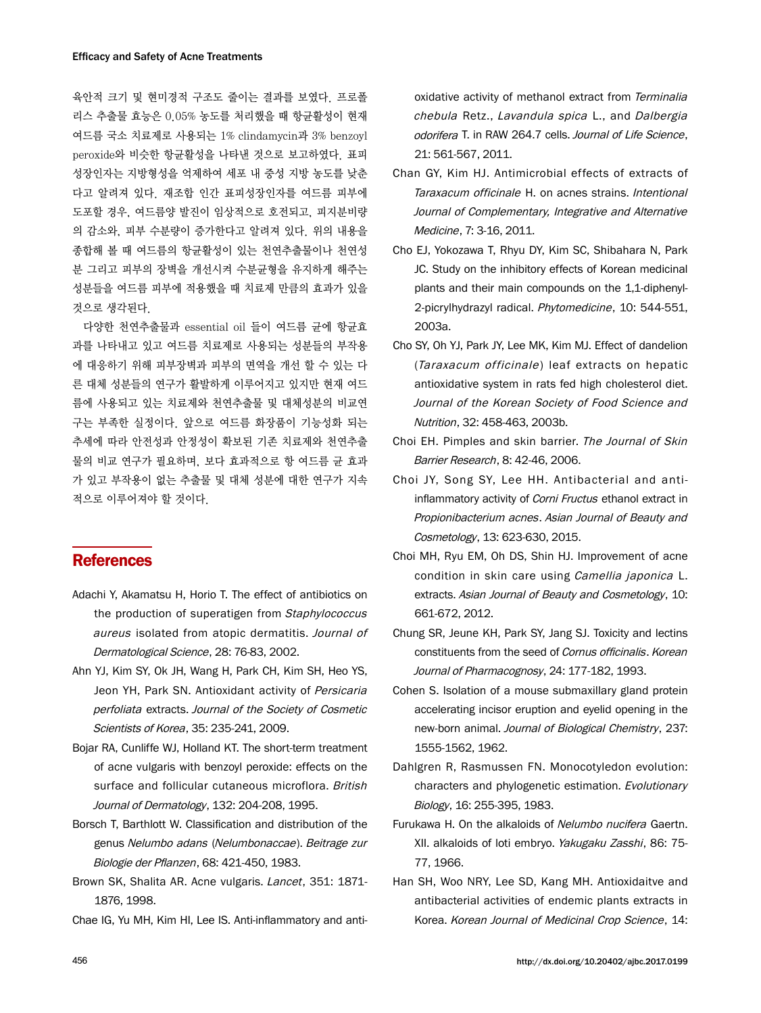육안적 크기 및 현미경적 구조도 줄이는 결과를 보였다. 프로폴 리스 추출물 효능은 0.05% 농도를 처리했을 때 항균활성이 현재 여드름 국소 치료제로 사용되는 1% clindamycin과 3% benzoyl peroxide와 비슷한 항균활성을 나타낸 것으로 보고하였다. 표피 성장인자는 지방형성을 억제하여 세포 내 중성 지방 농도를 낮춘 다고 알려져 있다. 재조합 인간 표피성장인자를 여드름 피부에 도포할 경우, 여드름양 발진이 임상적으로 호전되고, 피지분비량 의 감소와, 피부 수분량이 증가한다고 알려져 있다. 위의 내용을 종합해 볼 때 여드름의 항균활성이 있는 천연추출물이나 천연성 분 그리고 피부의 장벽을 개선시켜 수분균형을 유지하게 해주는 성분들을 여드름 피부에 적용했을 때 치료제 만큼의 효과가 있을 것으로 생각된다.

다양한 천연추출물과 essential oil 들이 여드름 균에 항균효 과를 나타내고 있고 여드름 치료제로 사용되는 성분들의 부작용 에 대응하기 위해 피부장벽과 피부의 면역을 개선 할 수 있는 다 른 대체 성분들의 연구가 활발하게 이루어지고 있지만 현재 여드 름에 사용되고 있는 치료제와 천연추출물 및 대체성분의 비교연 구는 부족한 실정이다. 앞으로 여드름 화장품이 기능성화 되는 추세에 따라 안전성과 안정성이 확보된 기존 치료제와 천연추출 물의 비교 연구가 필요하며, 보다 효과적으로 항 여드름 균 효과 가 있고 부작용이 없는 추출물 및 대체 성분에 대한 연구가 지속 적으로 이루어져야 할 것이다.

# **References**

- Adachi Y, Akamatsu H, Horio T. The effect of antibiotics on the production of superatigen from Staphylococcus aureus isolated from atopic dermatitis. Journal of Dermatological Science, 28: 76-83, 2002.
- Ahn YJ, Kim SY, Ok JH, Wang H, Park CH, Kim SH, Heo YS, Jeon YH, Park SN. Antioxidant activity of Persicaria perfoliata extracts. Journal of the Society of Cosmetic Scientists of Korea, 35: 235-241, 2009.
- Bojar RA, Cunliffe WJ, Holland KT. The short-term treatment of acne vulgaris with benzoyl peroxide: effects on the surface and follicular cutaneous microflora. British Journal of Dermatology, 132: 204-208, 1995.
- Borsch T, Barthlott W. Classification and distribution of the genus Nelumbo adans (Nelumbonaccae). Beitrage zur Biologie der Pflanzen, 68: 421-450, 1983.
- Brown SK, Shalita AR. Acne vulgaris. Lancet, 351: 1871- 1876, 1998.

Chae IG, Yu MH, Kim HI, Lee IS. Anti-inflammatory and anti-

oxidative activity of methanol extract from Terminalia chebula Retz., Lavandula spica L., and Dalbergia odorifera T. in RAW 264.7 cells. Journal of Life Science, 21: 561-567, 2011.

- Chan GY, Kim HJ. Antimicrobial effects of extracts of Taraxacum officinale H. on acnes strains. Intentional Journal of Complementary, Integrative and Alternative Medicine, 7: 3-16, 2011.
- Cho EJ, Yokozawa T, Rhyu DY, Kim SC, Shibahara N, Park JC. Study on the inhibitory effects of Korean medicinal plants and their main compounds on the 1,1-diphenyl-2-picrylhydrazyl radical. Phytomedicine, 10: 544-551, 2003a.
- Cho SY, Oh YJ, Park JY, Lee MK, Kim MJ. Effect of dandelion (Taraxacum officinale) leaf extracts on hepatic antioxidative system in rats fed high cholesterol diet. Journal of the Korean Society of Food Science and Nutrition, 32: 458-463, 2003b.
- Choi EH. Pimples and skin barrier. The Journal of Skin Barrier Research, 8: 42-46, 2006.
- Choi JY, Song SY, Lee HH. Antibacterial and antiinflammatory activity of *Corni Fructus* ethanol extract in Propionibacterium acnes. Asian Journal of Beauty and Cosmetology, 13: 623-630, 2015.
- Choi MH, Ryu EM, Oh DS, Shin HJ. Improvement of acne condition in skin care using Camellia japonica L. extracts. Asian Journal of Beauty and Cosmetology, 10: 661-672, 2012.
- Chung SR, Jeune KH, Park SY, Jang SJ. Toxicity and lectins constituents from the seed of Cornus officinalis. Korean Journal of Pharmacognosy, 24: 177-182, 1993.
- Cohen S. Isolation of a mouse submaxillary gland protein accelerating incisor eruption and eyelid opening in the new-born animal. Journal of Biological Chemistry, 237: 1555-1562, 1962.
- Dahlgren R, Rasmussen FN. Monocotyledon evolution: characters and phylogenetic estimation. Evolutionary Biology, 16: 255-395, 1983.
- Furukawa H. On the alkaloids of Nelumbo nucifera Gaertn. XII. alkaloids of loti embryo. Yakugaku Zasshi, 86: 75- 77, 1966.
- Han SH, Woo NRY, Lee SD, Kang MH. Antioxidaitve and antibacterial activities of endemic plants extracts in Korea. Korean Journal of Medicinal Crop Science, 14: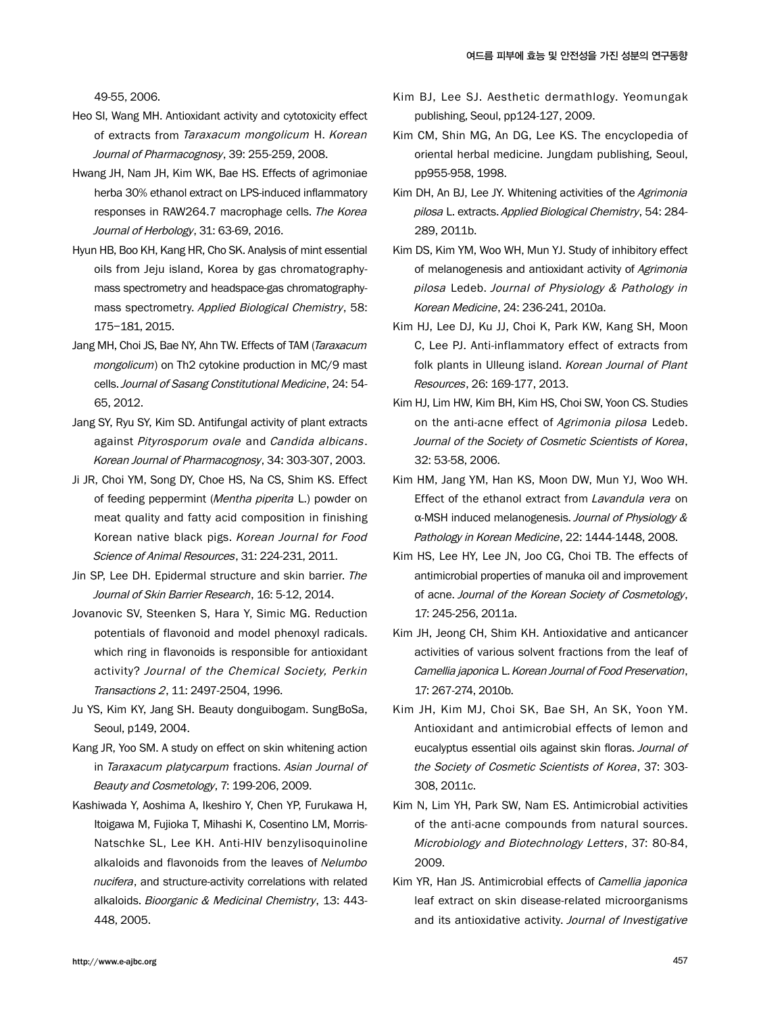49-55, 2006.

- Heo SI, Wang MH. Antioxidant activity and cytotoxicity effect of extracts from Taraxacum mongolicum H. Korean Journal of Pharmacognosy, 39: 255-259, 2008.
- Hwang JH, Nam JH, Kim WK, Bae HS. Effects of agrimoniae herba 30% ethanol extract on LPS-induced inflammatory responses in RAW264.7 macrophage cells. The Korea Journal of Herbology, 31: 63-69, 2016.
- Hyun HB, Boo KH, Kang HR, Cho SK. Analysis of mint essential oils from Jeju island, Korea by gas chromatographymass spectrometry and headspace-gas chromatographymass spectrometry. Applied Biological Chemistry, 58: 175−181, 2015.
- Jang MH, Choi JS, Bae NY, Ahn TW. Effects of TAM (Taraxacum mongolicum) on Th2 cytokine production in MC/9 mast cells. Journal of Sasang Constitutional Medicine, 24: 54- 65, 2012.
- Jang SY, Ryu SY, Kim SD. Antifungal activity of plant extracts against Pityrosporum ovale and Candida albicans. Korean Journal of Pharmacognosy, 34: 303-307, 2003.
- Ji JR, Choi YM, Song DY, Choe HS, Na CS, Shim KS. Effect of feeding peppermint (Mentha piperita L.) powder on meat quality and fatty acid composition in finishing Korean native black pigs. Korean Journal for Food Science of Animal Resources, 31: 224-231, 2011.
- Jin SP, Lee DH. Epidermal structure and skin barrier. The Journal of Skin Barrier Research, 16: 5-12, 2014.
- Jovanovic SV, Steenken S, Hara Y, Simic MG. Reduction potentials of flavonoid and model phenoxyl radicals. which ring in flavonoids is responsible for antioxidant activity? Journal of the Chemical Society, Perkin Transactions 2, 11: 2497-2504, 1996.
- Ju YS, Kim KY, Jang SH. Beauty donguibogam. SungBoSa, Seoul, p149, 2004.
- Kang JR, Yoo SM. A study on effect on skin whitening action in Taraxacum platycarpum fractions. Asian Journal of Beauty and Cosmetology, 7: 199-206, 2009.
- Kashiwada Y, Aoshima A, Ikeshiro Y, Chen YP, Furukawa H, Itoigawa M, Fujioka T, Mihashi K, Cosentino LM, Morris-Natschke SL, Lee KH. Anti-HIV benzylisoquinoline alkaloids and flavonoids from the leaves of Nelumbo nucifera, and structure-activity correlations with related alkaloids. Bioorganic & Medicinal Chemistry, 13: 443- 448, 2005.
- Kim BJ, Lee SJ. Aesthetic dermathlogy. Yeomungak publishing, Seoul, pp124-127, 2009.
- Kim CM, Shin MG, An DG, Lee KS. The encyclopedia of oriental herbal medicine. Jungdam publishing, Seoul, pp955-958, 1998.
- Kim DH, An BJ, Lee JY, Whitening activities of the Agrimonia pilosa L. extracts. Applied Biological Chemistry, 54: 284- 289, 2011b.
- Kim DS, Kim YM, Woo WH, Mun YJ. Study of inhibitory effect of melanogenesis and antioxidant activity of Agrimonia pilosa Ledeb. Journal of Physiology & Pathology in Korean Medicine, 24: 236-241, 2010a.
- Kim HJ, Lee DJ, Ku JJ, Choi K, Park KW, Kang SH, Moon C, Lee PJ. Anti-inflammatory effect of extracts from folk plants in Ulleung island. Korean Journal of Plant Resources, 26: 169-177, 2013.
- Kim HJ, Lim HW, Kim BH, Kim HS, Choi SW, Yoon CS. Studies on the anti-acne effect of Agrimonia pilosa Ledeb. Journal of the Society of Cosmetic Scientists of Korea, 32: 53-58, 2006.
- Kim HM, Jang YM, Han KS, Moon DW, Mun YJ, Woo WH. Effect of the ethanol extract from Lavandula vera on α-MSH induced melanogenesis. Journal of Physiology & Pathology in Korean Medicine, 22: 1444-1448, 2008.
- Kim HS, Lee HY, Lee JN, Joo CG, Choi TB. The effects of antimicrobial properties of manuka oil and improvement of acne. Journal of the Korean Society of Cosmetology, 17: 245-256, 2011a.
- Kim JH, Jeong CH, Shim KH. Antioxidative and anticancer activities of various solvent fractions from the leaf of Camellia japonica L. Korean Journal of Food Preservation, 17: 267-274, 2010b.
- Kim JH, Kim MJ, Choi SK, Bae SH, An SK, Yoon YM. Antioxidant and antimicrobial effects of lemon and eucalyptus essential oils against skin floras. Journal of the Society of Cosmetic Scientists of Korea, 37: 303- 308, 2011c.
- Kim N, Lim YH, Park SW, Nam ES. Antimicrobial activities of the anti-acne compounds from natural sources. Microbiology and Biotechnology Letters, 37: 80-84, 2009.
- Kim YR, Han JS. Antimicrobial effects of Camellia japonica leaf extract on skin disease-related microorganisms and its antioxidative activity. Journal of Investigative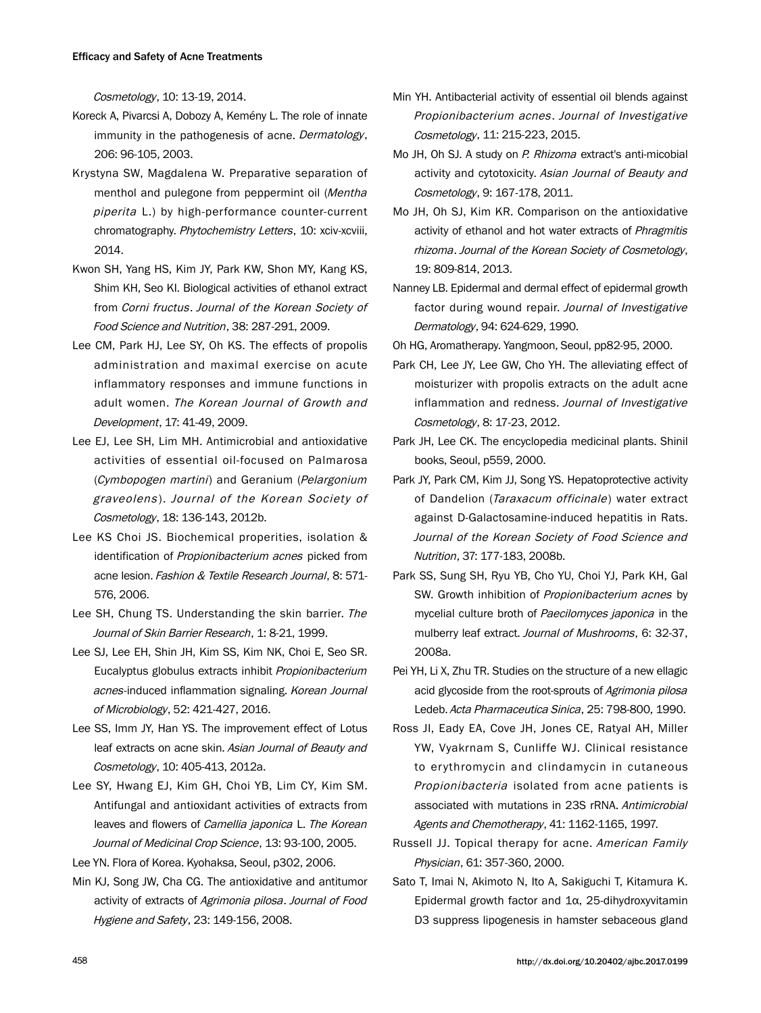Cosmetology, 10: 13-19, 2014.

- Koreck A, Pivarcsi A, Dobozy A, Kemény L. The role of innate immunity in the pathogenesis of acne. Dermatology, 206: 96-105, 2003.
- Krystyna SW, Magdalena W. Preparative separation of menthol and pulegone from peppermint oil (Mentha piperita L.) by high-performance counter-current chromatography. Phytochemistry Letters, 10: xciv-xcviii, 2014.
- Kwon SH, Yang HS, Kim JY, Park KW, Shon MY, Kang KS, Shim KH, Seo KI. Biological activities of ethanol extract from Corni fructus. Journal of the Korean Society of Food Science and Nutrition, 38: 287-291, 2009.
- Lee CM, Park HJ, Lee SY, Oh KS. The effects of propolis administration and maximal exercise on acute inflammatory responses and immune functions in adult women. The Korean Journal of Growth and Development, 17: 41-49, 2009.
- Lee EJ, Lee SH, Lim MH. Antimicrobial and antioxidative activities of essential oil-focused on Palmarosa (Cymbopogen martini) and Geranium (Pelargonium graveolens ). Journal of the Korean Society of Cosmetology, 18: 136-143, 2012b.
- Lee KS Choi JS. Biochemical properities, isolation & identification of Propionibacterium acnes picked from acne lesion. Fashion & Textile Research Journal, 8: 571- 576, 2006.
- Lee SH, Chung TS. Understanding the skin barrier. The Journal of Skin Barrier Research, 1: 8-21, 1999.
- Lee SJ, Lee EH, Shin JH, Kim SS, Kim NK, Choi E, Seo SR. Eucalyptus globulus extracts inhibit Propionibacterium acnes-induced inflammation signaling. Korean Journal of Microbiology, 52: 421-427, 2016.
- Lee SS, Imm JY, Han YS. The improvement effect of Lotus leaf extracts on acne skin. Asian Journal of Beauty and Cosmetology, 10: 405-413, 2012a.
- Lee SY, Hwang EJ, Kim GH, Choi YB, Lim CY, Kim SM. Antifungal and antioxidant activities of extracts from leaves and flowers of Camellia japonica L. The Korean Journal of Medicinal Crop Science, 13: 93-100, 2005.

Lee YN. Flora of Korea. Kyohaksa, Seoul, p302, 2006.

Min KJ, Song JW, Cha CG. The antioxidative and antitumor activity of extracts of Agrimonia pilosa. Journal of Food Hygiene and Safety, 23: 149-156, 2008.

- Min YH. Antibacterial activity of essential oil blends against Propionibacterium acnes . Journal of Investigative Cosmetology, 11: 215-223, 2015.
- Mo JH, Oh SJ, A study on P. Rhizoma extract's anti-micobial activity and cytotoxicity. Asian Journal of Beauty and Cosmetology, 9: 167-178, 2011.
- Mo JH, Oh SJ, Kim KR. Comparison on the antioxidative activity of ethanol and hot water extracts of Phragmitis rhizoma. Journal of the Korean Society of Cosmetology, 19: 809-814, 2013.
- Nanney LB. Epidermal and dermal effect of epidermal growth factor during wound repair. Journal of Investigative Dermatology, 94: 624-629, 1990.
- Oh HG, Aromatherapy. Yangmoon, Seoul, pp82-95, 2000.
- Park CH, Lee JY, Lee GW, Cho YH. The alleviating effect of moisturizer with propolis extracts on the adult acne inflammation and redness. Journal of Investigative Cosmetology, 8: 17-23, 2012.
- Park JH, Lee CK. The encyclopedia medicinal plants. Shinil books, Seoul, p559, 2000.
- Park JY, Park CM, Kim JJ, Song YS. Hepatoprotective activity of Dandelion (Taraxacum officinale) water extract against D-Galactosamine-induced hepatitis in Rats. Journal of the Korean Society of Food Science and Nutrition, 37: 177-183, 2008b.
- Park SS, Sung SH, Ryu YB, Cho YU, Choi YJ, Park KH, Gal SW. Growth inhibition of Propionibacterium acnes by mycelial culture broth of Paecilomyces japonica in the mulberry leaf extract. Journal of Mushrooms, 6: 32-37, 2008a.
- Pei YH, Li X, Zhu TR. Studies on the structure of a new ellagic acid glycoside from the root-sprouts of Agrimonia pilosa Ledeb. Acta Pharmaceutica Sinica, 25: 798-800, 1990.
- Ross JI, Eady EA, Cove JH, Jones CE, Ratyal AH, Miller YW, Vyakrnam S, Cunliffe WJ. Clinical resistance to erythromycin and clindamycin in cutaneous Propionibacteria isolated from acne patients is associated with mutations in 23S rRNA. Antimicrobial Agents and Chemotherapy, 41: 1162-1165, 1997.
- Russell JJ. Topical therapy for acne. American Family Physician, 61: 357-360, 2000.
- Sato T, Imai N, Akimoto N, Ito A, Sakiguchi T, Kitamura K. Epidermal growth factor and 1α, 25-dihydroxyvitamin D3 suppress lipogenesis in hamster sebaceous gland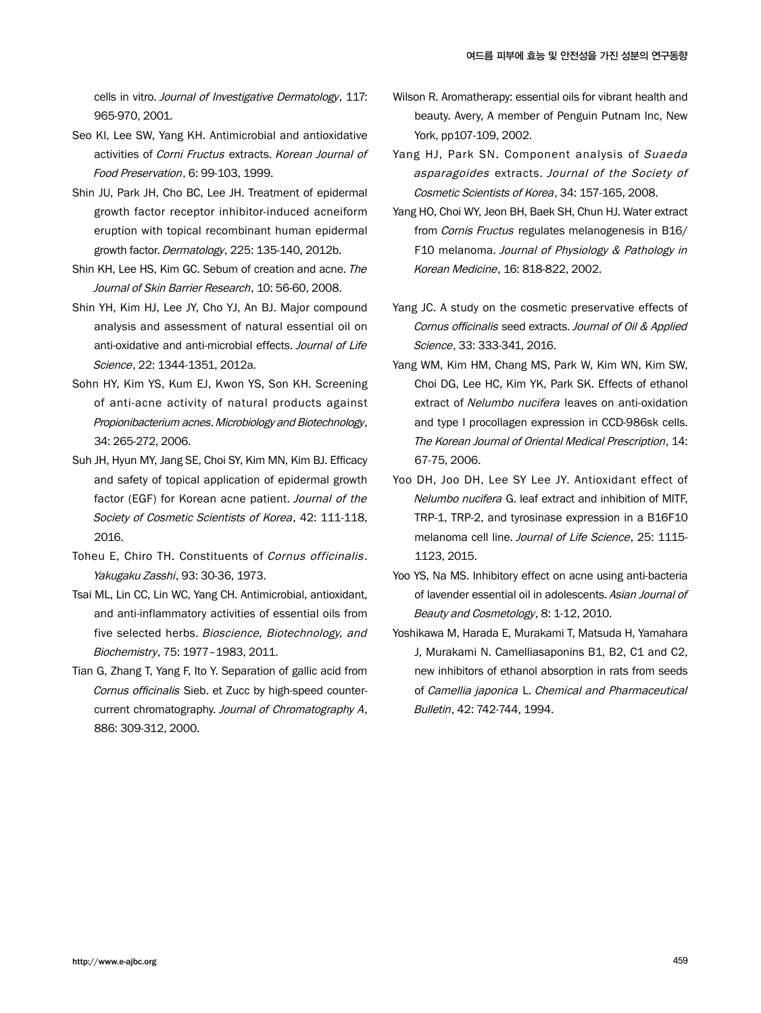cells in vitro. Journal of Investigative Dermatology, 117: 965-970, 2001.

- Seo KI, Lee SW, Yang KH. Antimicrobial and antioxidative activities of Corni Fructus extracts. Korean Journal of Food Preservation, 6: 99-103, 1999.
- Shin JU, Park JH, Cho BC, Lee JH. Treatment of epidermal growth factor receptor inhibitor-induced acneiform eruption with topical recombinant human epidermal growth factor. Dermatology, 225: 135-140, 2012b.
- Shin KH, Lee HS, Kim GC. Sebum of creation and acne. The Journal of Skin Barrier Research, 10: 56-60, 2008.
- Shin YH, Kim HJ, Lee JY, Cho YJ, An BJ. Major compound analysis and assessment of natural essential oil on anti-oxidative and anti-microbial effects. Journal of Life Science, 22: 1344-1351, 2012a.
- Sohn HY, Kim YS, Kum EJ, Kwon YS, Son KH. Screening of anti-acne activity of natural products against Propionibacterium acnes. Microbiology and Biotechnology, 34: 265-272, 2006.
- Suh JH, Hyun MY, Jang SE, Choi SY, Kim MN, Kim BJ. Efficacy and safety of topical application of epidermal growth factor (EGF) for Korean acne patient. Journal of the Society of Cosmetic Scientists of Korea, 42: 111-118, 2016.
- Toheu E, Chiro TH. Constituents of Cornus officinalis. Yakugaku Zasshi, 93: 30-36, 1973.
- Tsai ML, Lin CC, Lin WC, Yang CH. Antimicrobial, antioxidant, and anti-inflammatory activities of essential oils from five selected herbs. Bioscience, Biotechnology, and Biochemistry, 75: 1977–1983, 2011.
- Tian G, Zhang T, Yang F, Ito Y. Separation of gallic acid from Cornus officinalis Sieb. et Zucc by high-speed countercurrent chromatography. Journal of Chromatography A, 886: 309-312, 2000.
- Wilson R. Aromatherapy: essential oils for vibrant health and beauty. Avery, A member of Penguin Putnam Inc, New York, pp107-109, 2002.
- Yang HJ, Park SN, Component analysis of Suaeda asparagoides extracts. Journal of the Society of Cosmetic Scientists of Korea, 34: 157-165, 2008.
- Yang HO, Choi WY, Jeon BH, Baek SH, Chun HJ. Water extract from Cornis Fructus regulates melanogenesis in B16/ F10 melanoma. Journal of Physiology & Pathology in Korean Medicine, 16: 818-822, 2002.
- Yang JC. A study on the cosmetic preservative effects of Cornus officinalis seed extracts. Journal of Oil & Applied Science, 33: 333-341, 2016.
- Yang WM, Kim HM, Chang MS, Park W, Kim WN, Kim SW, Choi DG, Lee HC, Kim YK, Park SK. Effects of ethanol extract of Nelumbo nucifera leaves on anti-oxidation and type I procollagen expression in CCD-986sk cells. The Korean Journal of Oriental Medical Prescription, 14: 67-75, 2006.
- Yoo DH, Joo DH, Lee SY Lee JY. Antioxidant effect of Nelumbo nucifera G. leaf extract and inhibition of MITF, TRP-1, TRP-2, and tyrosinase expression in a B16F10 melanoma cell line. Journal of Life Science, 25: 1115-1123, 2015.
- Yoo YS, Na MS. Inhibitory effect on acne using anti-bacteria of lavender essential oil in adolescents. Asian Journal of Beauty and Cosmetology, 8: 1-12, 2010.
- Yoshikawa M, Harada E, Murakami T, Matsuda H, Yamahara J, Murakami N. Camelliasaponins B1, B2, C1 and C2, new inhibitors of ethanol absorption in rats from seeds of Camellia japonica L. Chemical and Pharmaceutical Bulletin, 42: 742-744, 1994.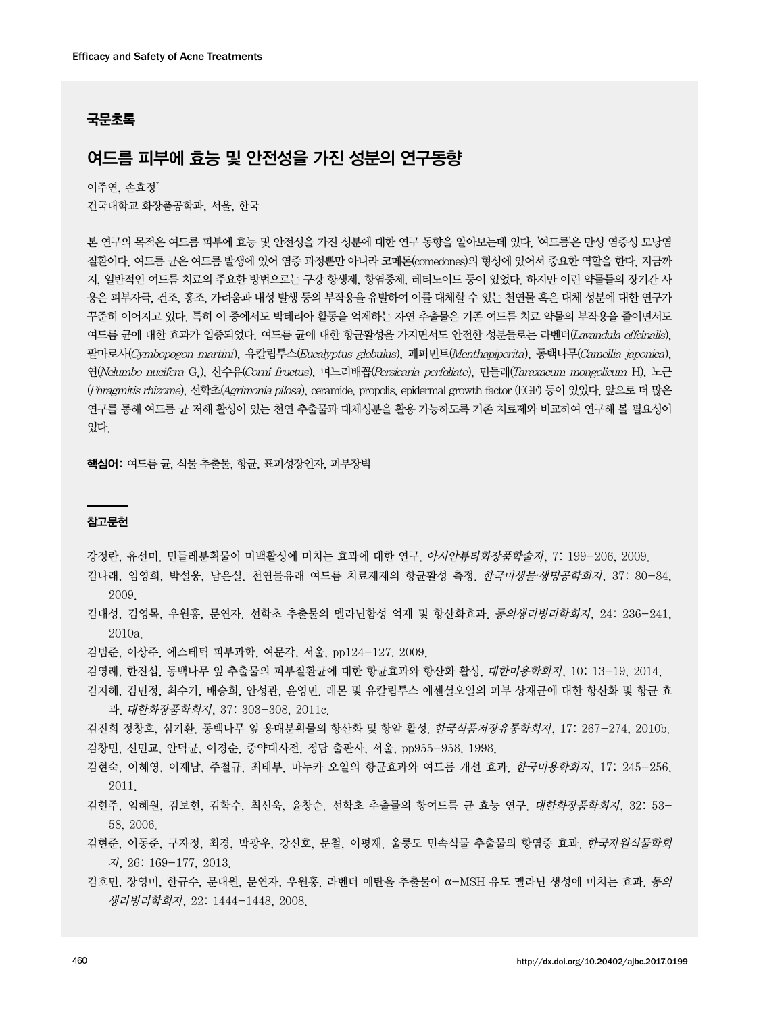## 국문초록

# 여드름 피부에 효능 및 안전성을 가진 성분의 연구동향

이주연, 손효정\* 건국대학교 화장품공학과, 서울, 한국

본 연구의 목적은 여드름 피부에 효능 및 안전성을 가진 성분에 대한 연구 동향을 알아보는데 있다. '여드름'은 만성 염증성 모낭염 질환이다. 여드름 균은 여드름 발생에 있어 염증 과정뿐만 아니라 코메돈(comedones)의 형성에 있어서 중요한 역할을 한다. 지금까 지, 일반적인 여드름 치료의 주요한 방법으로는 구강 항생제, 항염증제, 레티노이드 등이 있었다. 하지만 이런 약물들의 장기간 사 용은 피부자극, 건조, 홍조, 가려움과 내성 발생 등의 부작용을 유발하여 이를 대체할 수 있는 천연물 혹은 대체 성분에 대한 연구가 꾸준히 이어지고 있다. 특히 이 중에서도 박테리아 활동을 억제하는 자연 추출물은 기존 여드름 치료 약물의 부작용을 줄이면서도 여드름 균에 대한 효과가 입증되었다. 여드름 균에 대한 항균활성을 가지면서도 안전한 성분들로는 라벤더(Lavandula offcinalis), 팔마로사(Cymbopogon martini), 유칼립투스(Eucalyptus globulus), 페퍼민트(Menthapiperita), 동백나무(Camellia japonica), 연(Nelumbo nucifera G.), 산수유(Corni fructus), 며느리배꼽(Persicaria perfoliate), 민들레(Taraxacum mongolicum H), 노근 (Phragmitis rhizome), 선학초(Agrimonia pilosa), ceramide, propolis, epidermal growth factor (EGF) 등이 있었다. 앞으로 더 많은 연구를 통해 여드름 균 저해 활성이 있는 천연 추출물과 대체성분을 활용 가능하도록 기존 치료제와 비교하여 연구해 볼 필요성이 있다.

핵심어: 여드름 균, 식물 추출물, 항균, 표피성장인자, 피부장벽

### 참고문헌

강정란, 유선미. 민들레분획물이 미백활성에 미치는 효과에 대한 연구. 아시안뷰티화장품학술지, 7: 199-206, 2009.

- 김나래, 임영희, 박설웅, 남은실. 천연물유래 여드름 치료제제의 항균활성 측정. 한국미생물∙생명공학회지, 37: 80-84, 2009.
- 김대성, 김영목, 우원홍, 문연자. 선학초 추출물의 멜라닌합성 억제 및 항산화효과. 동의생리병리학회지, 24: 236-241, 2010a.
- 김범준, 이상주. 에스테틱 피부과학. 여문각, 서울, pp124-127, 2009.
- 김영례, 한진섭. 동백나무 잎 추출물의 피부질환균에 대한 항균효과와 항산화 활성. 대한미용학회지, 10: 13-19, 2014.
- 김지혜, 김민정, 최수기, 배승희, 안성관, 윤영민. 레몬 및 유칼립투스 에센셜오일의 피부 상재균에 대한 항산화 및 항균 효 과. 대한화장품학회지, 37: 303-308, 2011c.

김진희 정창호, 심기환. 동백나무 잎 용매분획물의 항산화 및 항암 활성. 한국식품저장유통학회지, 17: 267-274, 2010b. 김창민, 신민교, 안덕균, 이경순. 중약대사전. 정담 출판사, 서울, pp955-958, 1998.

- 김현숙, 이혜영, 이재남, 주철규, 최태부. 마누카 오일의 항균효과와 여드름 개선 효과. 한국미용학회지, 17: 245-256, 2011.
- 김현주, 임혜원, 김보현, 김학수, 최신욱, 윤창순. 선학초 추출물의 항여드름 균 효능 연구. 대한화장품학회지, 32: 53- 58, 2006.
- 김현준, 이동준, 구자정, 최경, 박광우, 강신호, 문철, 이평재. 울릉도 민속식물 추출물의 항염증 효과. 한국자원식물학회 지, 26: 169-177, 2013.
- 김호민, 장영미, 한규수, 문대원, 문연자, 우원홍. 라벤더 에탄올 추출물이 α-MSH 유도 멜라닌 생성에 미치는 효과. 동의 생리병리학회지, 22: 1444-1448, 2008.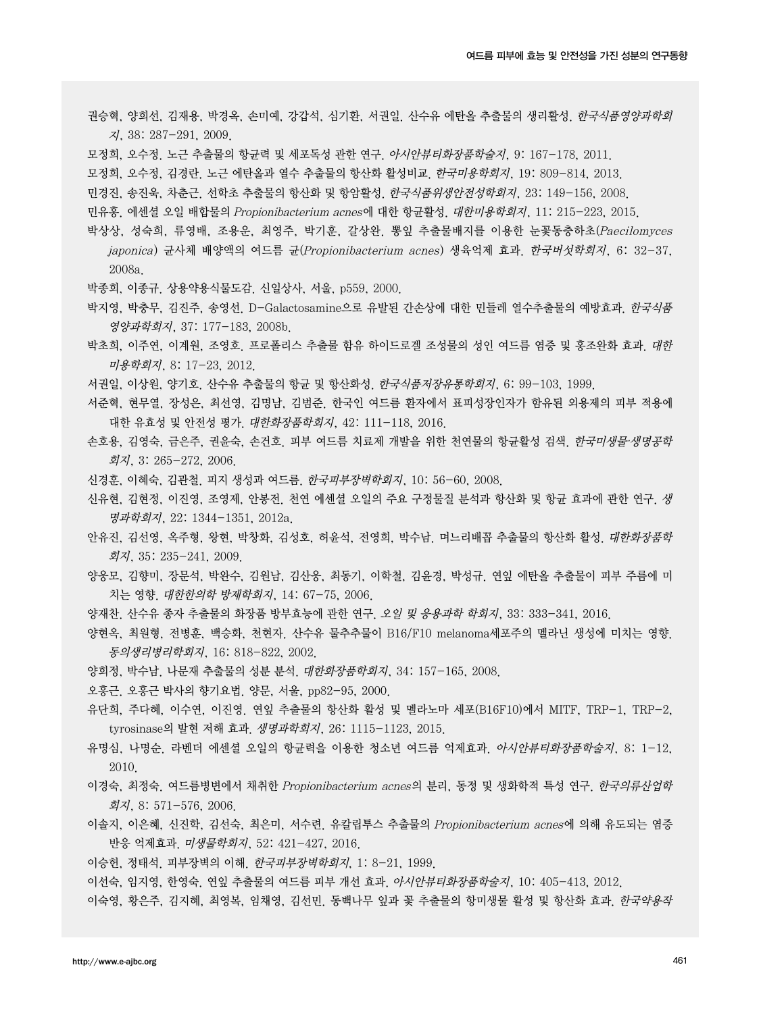- 권승혁, 양희선, 김재용, 박경옥, 손미예, 강갑석, 심기환, 서권일. 산수유 에탄올 추출물의 생리활성. 한국식품영양과학회 지, 38: 287-291, 2009.
- 모정희, 오수정. 노근 추출물의 항균력 및 세포독성 관한 연구. 아시안뷰티화장품학술지, 9: 167-178, 2011.
- 모정희, 오수정, 김경란. 노근 에탄올과 열수 추출물의 항산화 활성비교. 한국미용학회지, 19: 809-814, 2013.
- 민경진, 송진욱, 차춘근. 선학초 추출물의 항산화 및 항암활성. 한국식품위생안전성학회지, 23: 149-156, 2008.
- 민유홍. 에센셜 오일 배합물의 Propionibacterium acnes에 대한 항균활성. 대한미용학회지, 11: 215-223, 2015.
- 박상상, 성숙희, 류영배, 조용운, 최영주, 박기훈, 갈상완. 뽕잎 추출물배지를 이용한 눈꽃동충하초(Paecilomyces japonica) 균사체 배양액의 여드름 균(Propionibacterium acnes) 생육억제 효과. 한국버섯학회지, 6: 32-37, 2008a.
- 박종희, 이종규. 상용약용식물도감. 신일상사, 서울, p559, 2000.
- 박지영, 박충무, 김진주, 송영선. D-Galactosamine으로 유발된 간손상에 대한 민들레 열수추출물의 예방효과. *한국식품* 영양과학회지, 37: 177-183, 2008b.
- 박초희, 이주연, 이계원, 조영호. 프로폴리스 추출물 함유 하이드로겔 조성물의 성인 여드름 염증 및 홍조완화 효과. 대한 미용학회지, 8: 17-23, 2012.
- 서권일, 이상원, 양기호, 산수유 추출물의 항균 및 항산화성, *한국식품저장유통학회지*, 6: 99-103, 1999.
- 서준혁, 현무열, 장성은, 최선영, 김명남, 김범준. 한국인 여드름 환자에서 표피성장인자가 함유된 외용제의 피부 적용에 대한 유효성 및 안전성 평가. 대한화장품학회지, 42: 111-118, 2016.
- 손호용, 김영숙, 금은주, 권윤숙, 손건호. 피부 여드름 치료제 개발을 위한 천연물의 항균활성 검색. 한국미생물∙생명공학 회지, 3: 265-272, 2006.
- 신경훈, 이혜숙, 김관철. 피지 생성과 여드름. 한국피부장벽학회지, 10: 56-60, 2008.
- 신유현, 김현정, 이진영, 조영제, 안봉전. 천연 에센셜 오일의 주요 구정물질 분석과 항산화 및 항균 효과에 관한 연구. 생 명과학회지, 22: 1344-1351, 2012a.
- 안유진, 김선영, 옥주형, 왕현, 박창화, 김성호, 허윤석, 전영희, 박수남, 며느리배꼽 추출물의 항산화 활성. *대한화장품학* 회지, 35: 235-241, 2009.
- 양웅모, 김향미, 장문석, 박완수, 김원남, 김산웅, 최동기, 이학철, 김윤경, 박성규. 연잎 에탄올 추출물이 피부 주름에 미 치는 영향. 대한한의학 방제학회지, 14: 67-75, 2006.
- 양재찬. 산수유 종자 추출물의 화장품 방부효능에 관한 연구. 오*일 및 응용과학 학회지,* 33: 333-341, 2016.
- 양현옥, 최원형, 전병훈, 백승화, 천현자. 산수유 물추추물이 B16/F10 melanoma세포주의 멜라닌 생성에 미치는 영향. 동의생리병리학회지, 16: 818-822, 2002.
- 양희정, 박수남. 나문재 추출물의 성분 분석. 대한화장품학회지, 34: 157-165, 2008.
- 오흥근. 오흥근 박사의 향기요법. 양문, 서울, pp82-95, 2000.
- 유단희, 주다혜, 이수연, 이진영. 연잎 추출물의 항산화 활성 및 멜라노마 세포(B16F10)에서 MITF, TRP-1, TRP-2, tyrosinase의 발현 저해 효과. *생명과학회지*, 26: 1115-1123, 2015.
- 유명심, 나명순. 라벤더 에센셜 오일의 항균력을 이용한 청소년 여드름 억제효과. 아시안뷰티화장품학술지, 8: 1-12, 2010.
- 이경숙, 최정숙. 여드름병변에서 채취한 Propionibacterium acnes의 분리, 동정 및 생화학적 특성 연구. *한국의류산업학* 회지, 8: 571-576, 2006.
- 이솔지, 이은혜, 신진학, 김선숙, 최은미, 서수련, 유칼립투스 추출물의 Propionibacterium acnes에 의해 유도되는 염증 반응 억제효과. 미생물학회지, 52: 421-427, 2016.
- 이승헌, 정태석. 피부장벽의 이해. 한국피부장벽학회지, 1: 8-21, 1999.
- 이선숙, 임지영, 한영숙. 연잎 추출물의 여드름 피부 개선 효과. 아시안뷰티화장품학술지, 10: 405-413, 2012.
- 이숙영, 황은주, 김지혜, 최영복, 임채영, 김선민. 동백나무 잎과 꽃 추출물의 항미생물 활성 및 항산화 효과. *한국약용작*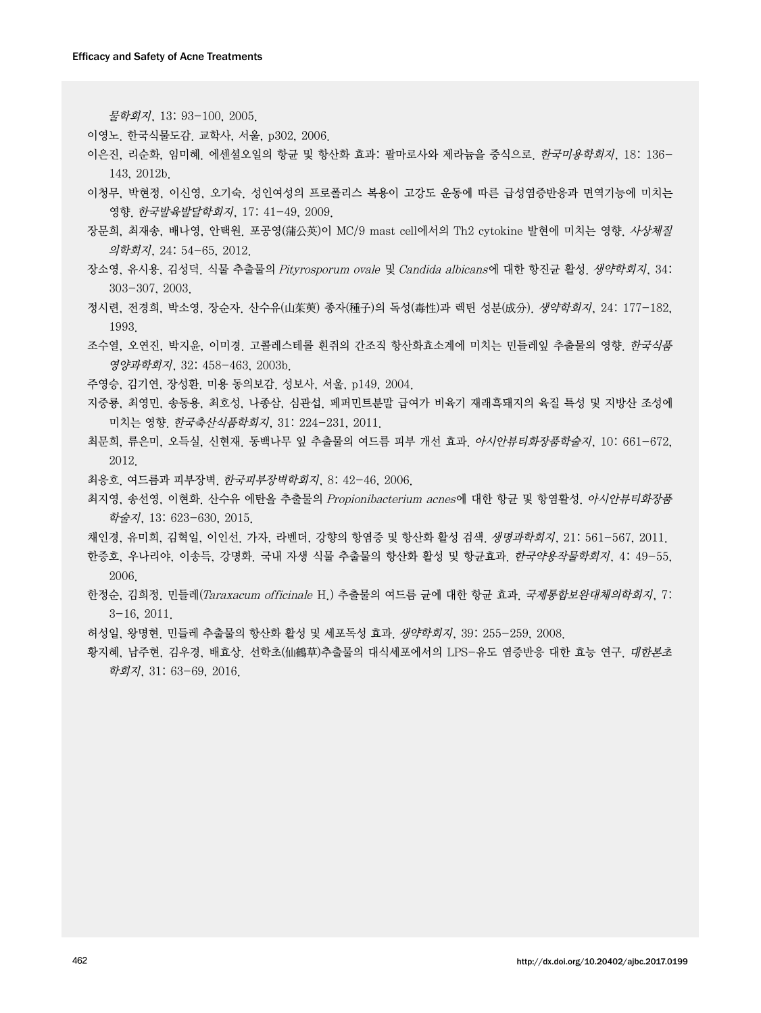물학회지, 13: 93-100, 2005.

이영노. 한국식물도감. 교학사, 서울, p302, 2006.

- 이은진, 리순화, 임미혜. 에센셜오일의 항균 및 항산화 효과: 팔마로사와 제라늄을 중식으로. 한국미용학회지, 18: 136- 143, 2012b.
- 이청무, 박현정, 이신영, 오기숙. 성인여성의 프로폴리스 복용이 고강도 운동에 따른 급성염증반응과 면역기능에 미치는 영향. 한국발육발달학회지, 17: 41-49, 2009.
- 장문희, 최재송, 배나영, 안택원. 포공영(蒲公英)이 MC/9 mast cell에서의 Th2 cytokine 발현에 미치는 영향. 사상체질 의학회지, 24: 54-65, 2012.
- 장소영, 유시용, 김성덕. 식물 추출물의 Pityrosporum ovale 및 Candida albicans에 대한 항진균 활성. 생약학회지, 34: 303-307, 2003.
- 정시련, 전경희, 박소영, 장순자. 산수유(山茱萸) 종자(種子)의 독성(毒性)과 렉틴 성분(成分). 생약학회지, 24: 177-182, 1993.
- 조수열, 오연진, 박지윤, 이미경. 고콜레스테롤 흰쥐의 간조직 항산화효소계에 미치는 민들레잎 추출물의 영향. 한국식품 영양과학회지, 32: 458-463, 2003b.
- 주영승, 김기연, 장성환. 미용 동의보감. 성보사, 서울, p149, 2004.
- 지중룡, 최영민, 송동용, 최호성, 나종삼, 심관섭. 페퍼민트분말 급여가 비육기 재래흑돼지의 육질 특성 및 지방산 조성에 미치는 영향. 한국축산식품학회지, 31: 224-231, 2011.
- 최문희, 류은미, 오득실, 신현재, 동백나무 잎 추출물의 여드름 피부 개선 효과, *아시안뷰티화장품학술지*, 10: 661-672, 2012.
- 최응호. 여드름과 피부장벽. 한국피부장벽학회지, 8: 42-46, 2006.
- 최지영, 송선영, 이현화. 산수유 에탄올 추출물의 Propionibacterium acnes에 대한 항균 및 항염활성. 아시안뷰티화장품 학술지, 13: 623-630, 2015.
- 채인경, 유미희, 김혁일, 이인선. 가자, 라벤더, 강향의 항염증 및 항산화 활성 검색. *생명과학회지*, 21: 561-567, 2011.
- 한증호, 우나리야, 이송득, 강명화. 국내 자생 식물 추출물의 항산화 활성 및 항균효과. *한국약용작물학회지*, 4: 49-55, 2006.
- 한정순, 김희정. 민들레(Taraxacum officinale H.) 추출물의 여드름 균에 대한 항균 효과. *국제통합보완대체의학회지*, 7: 3-16, 2011.
- 허성일, 왕명현. 민들레 추출물의 항산화 활성 및 세포독성 효과. 생약학회지, 39: 255-259, 2008.
- 황지혜, 남주현, 김우경, 배효상. 선학초(仙鶴草)추출물의 대식세포에서의 LPS-유도 염증반응 대한 효능 연구. *대한본초* 학회지, 31: 63-69, 2016.